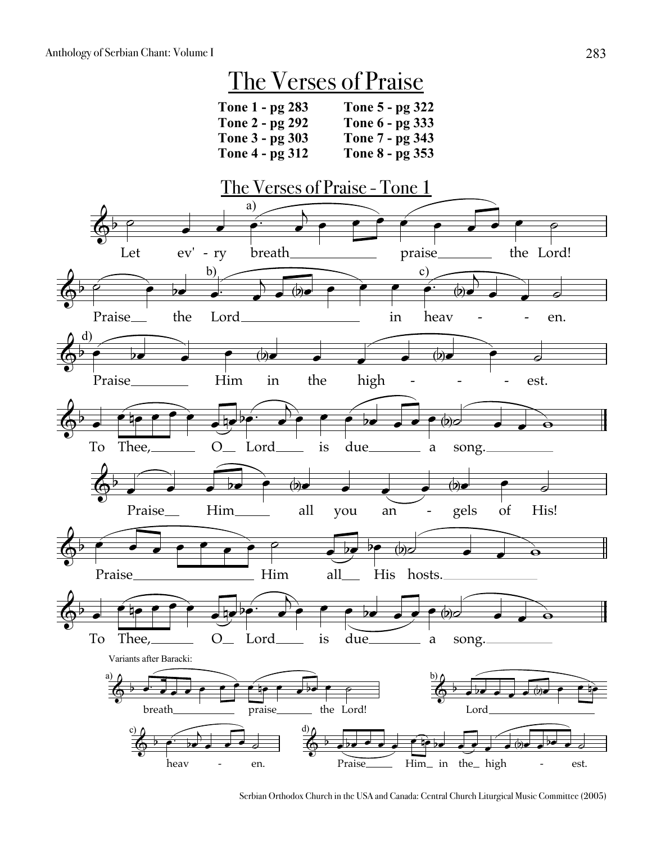

Serbian Orthodox Church in the USA and Canada: Central Church Liturgical Music Committee (2005)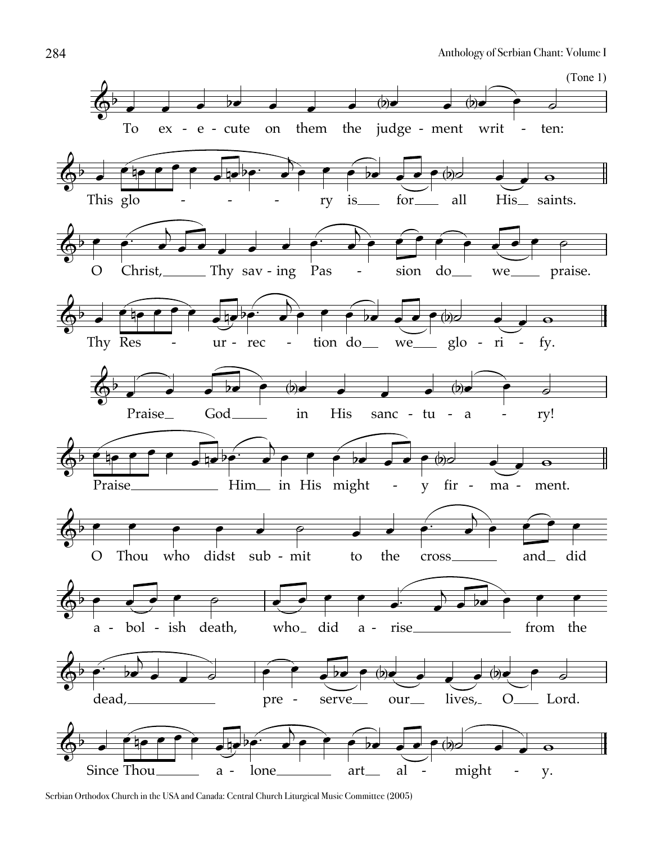

Serbian Orthodox Church in the USA and Canada: Central Church Liturgical Music Committee (2005)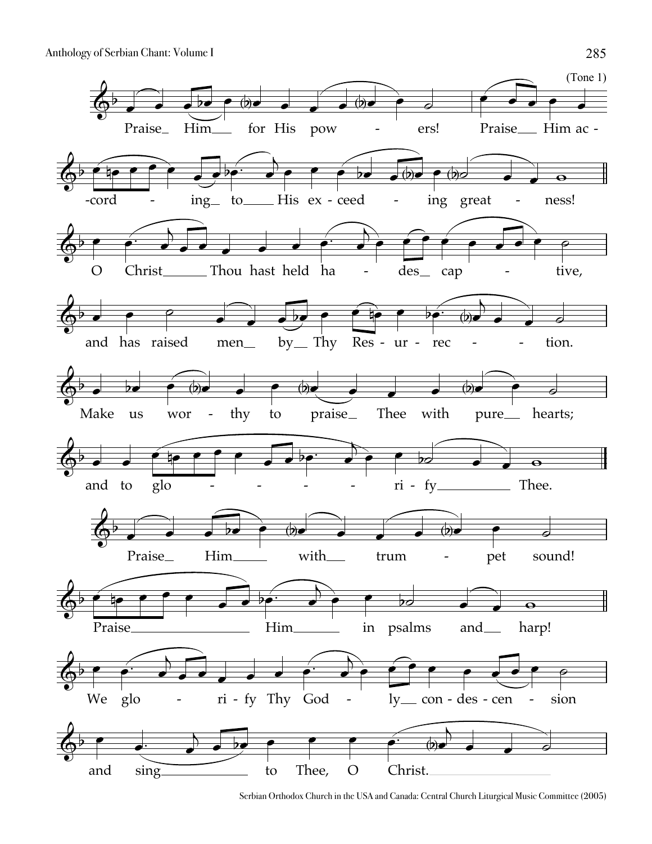

Serbian Orthodox Church in the USA and Canada: Central Church Liturgical Music Committee (2005)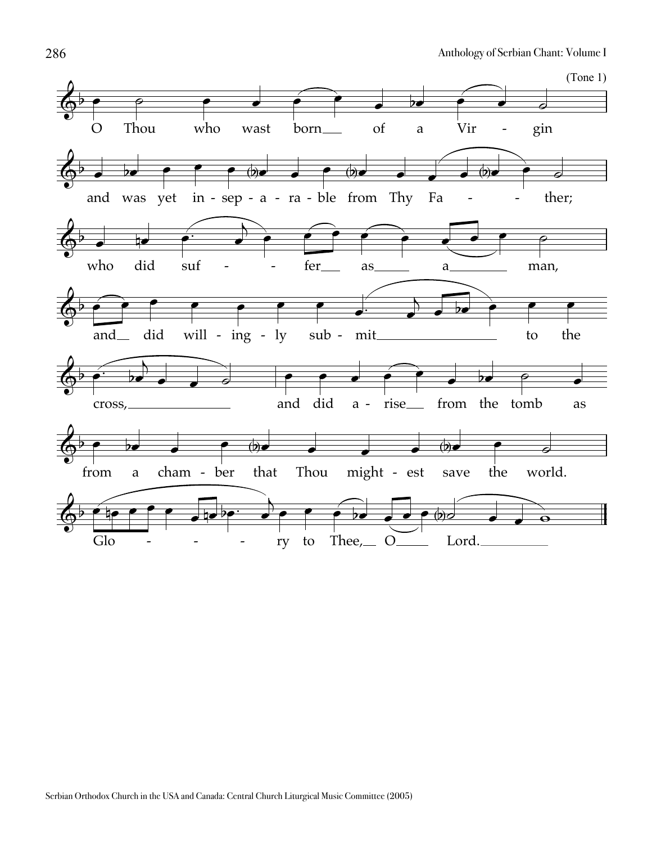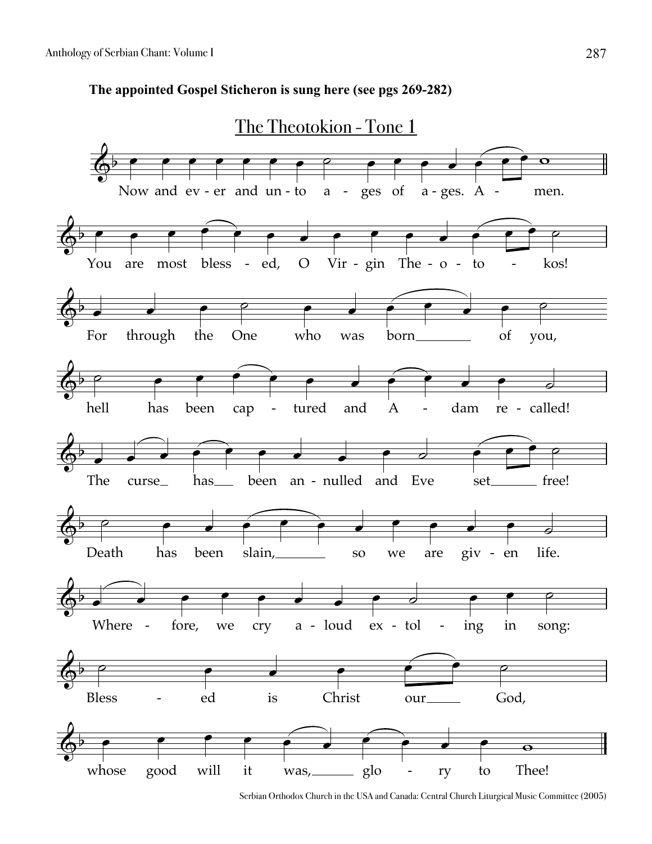



Serbian Orthodox Church in the USA and Canada: Central Church Liturgical Music Committee (2005)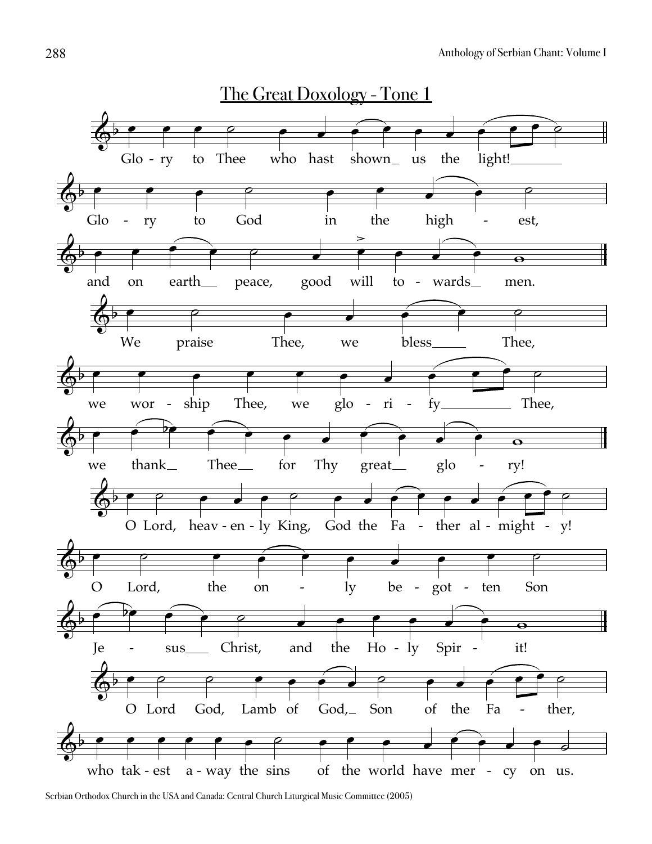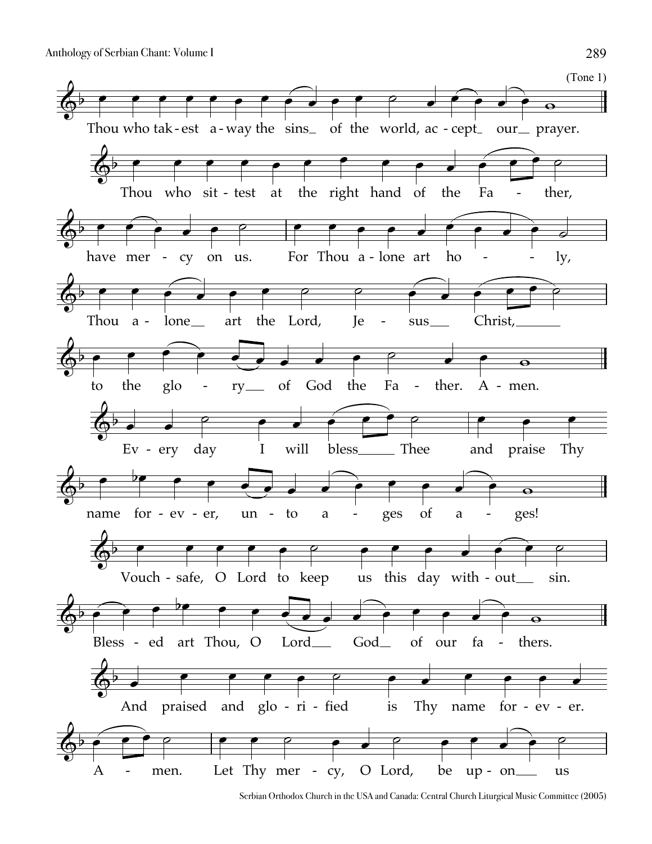

Serbian Orthodox Church in the USA and Canada: Central Church Liturgical Music Committee (2005)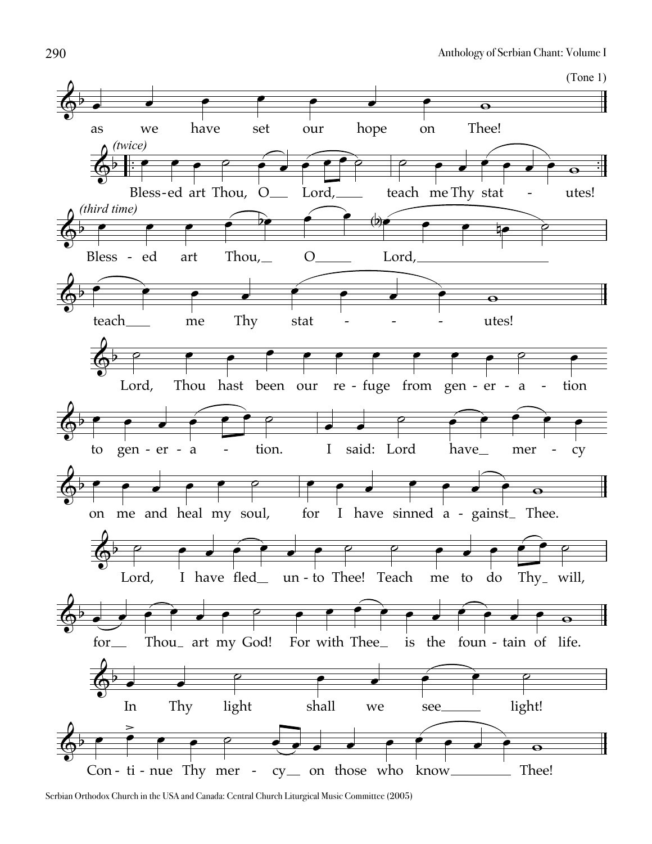

Serbian Orthodox Church in the USA and Canada: Central Church Liturgical Music Committee (2005)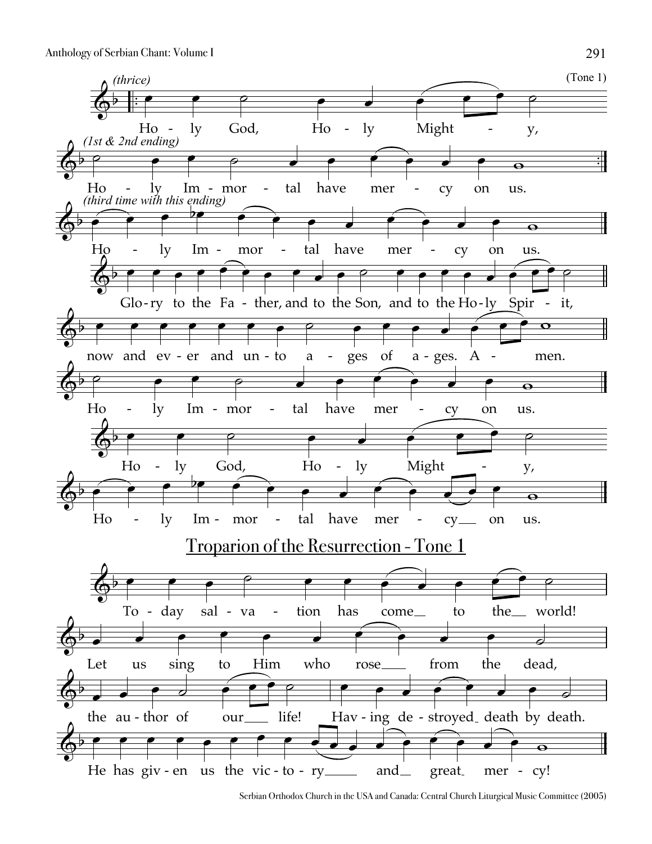

Serbian Orthodox Church in the USA and Canada: Central Church Liturgical Music Committee (2005)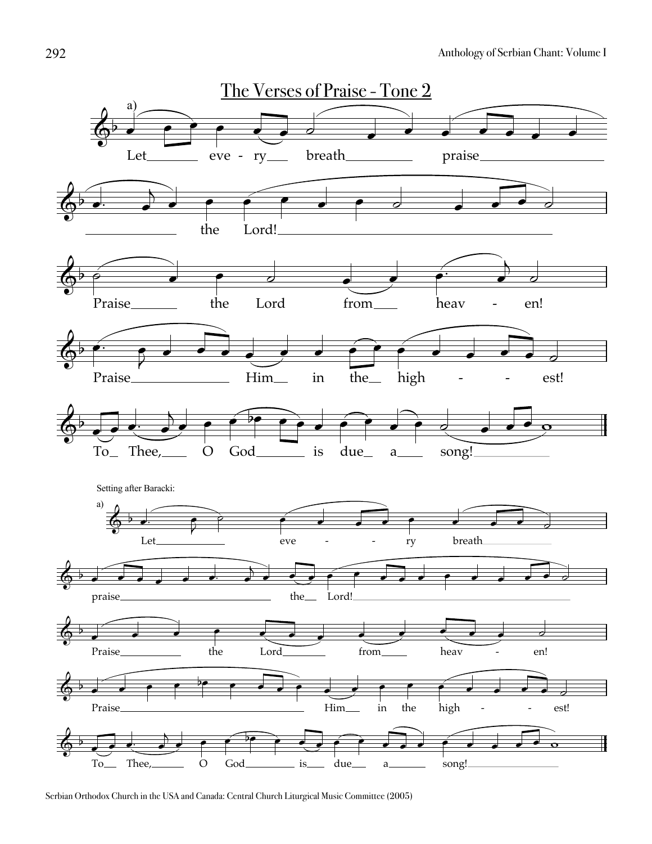

Serbian Orthodox Church in the USA and Canada: Central Church Liturgical Music Committee (2005)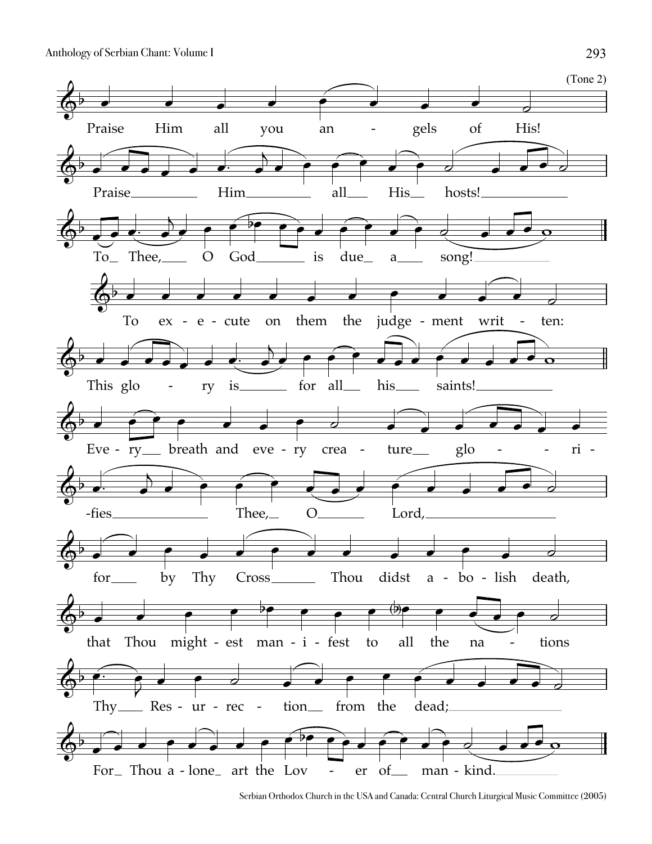

Serbian Orthodox Church in the USA and Canada: Central Church Liturgical Music Committee (2005)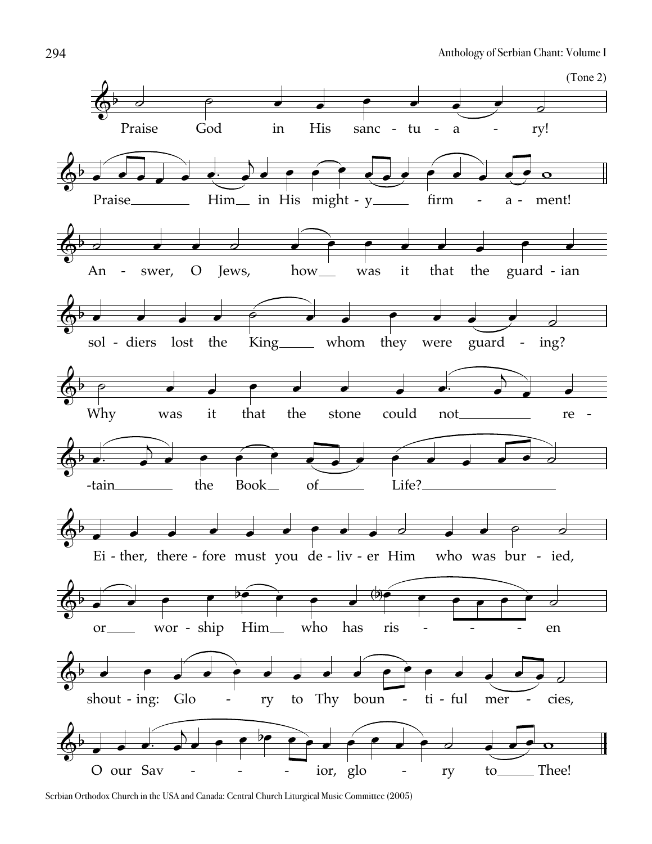

Serbian Orthodox Church in the USA and Canada: Central Church Liturgical Music Committee (2005)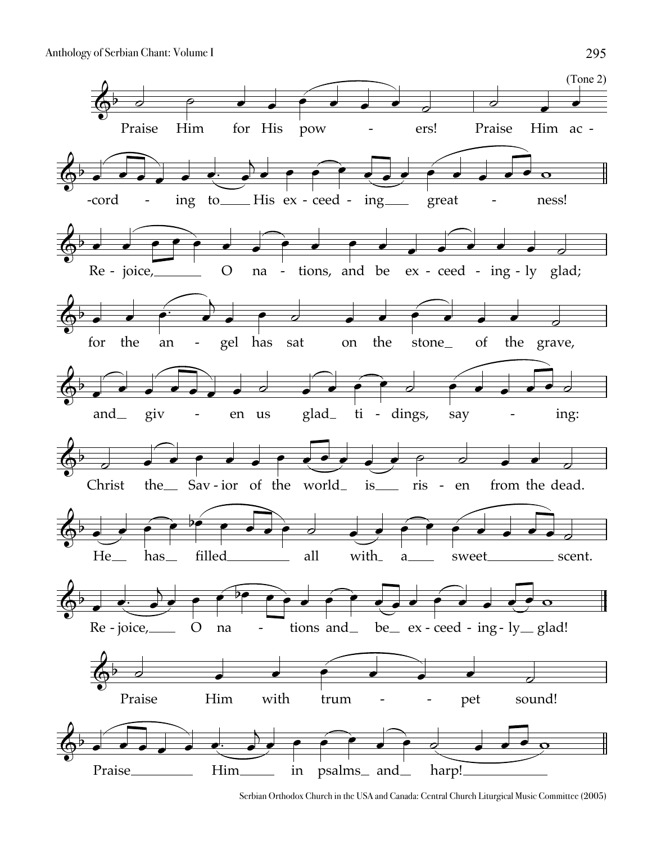

Serbian Orthodox Church in the USA and Canada: Central Church Liturgical Music Committee (2005)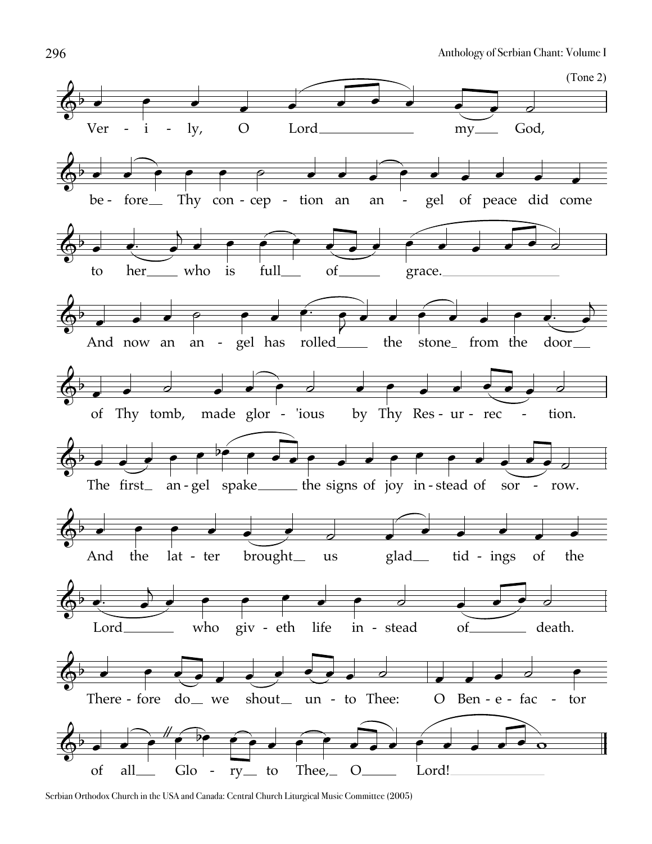

Serbian Orthodox Church in the USA and Canada: Central Church Liturgical Music Committee (2005)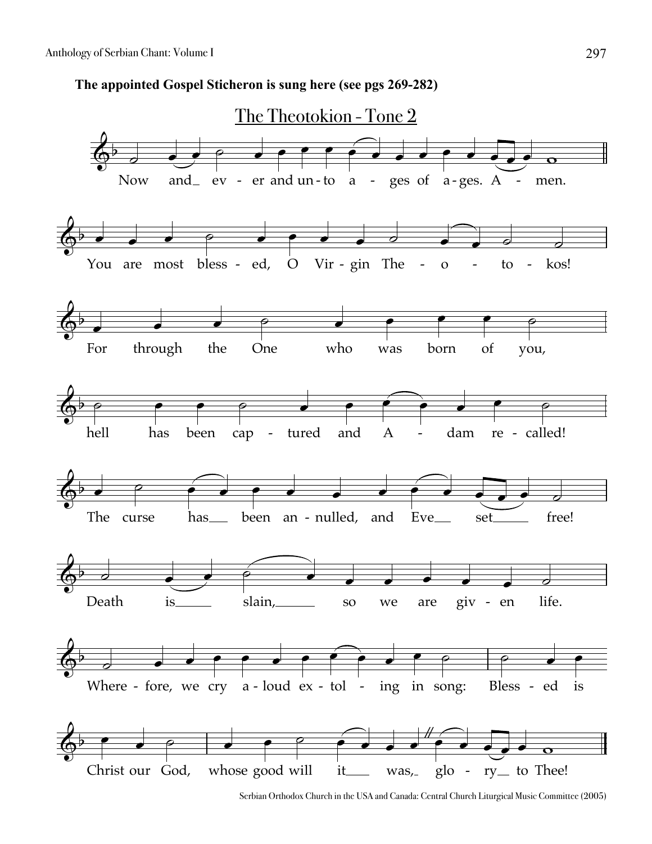**The appointed Gospel Sticheron is sung here (see pgs 269-282)**



Serbian Orthodox Church in the USA and Canada: Central Church Liturgical Music Committee (2005)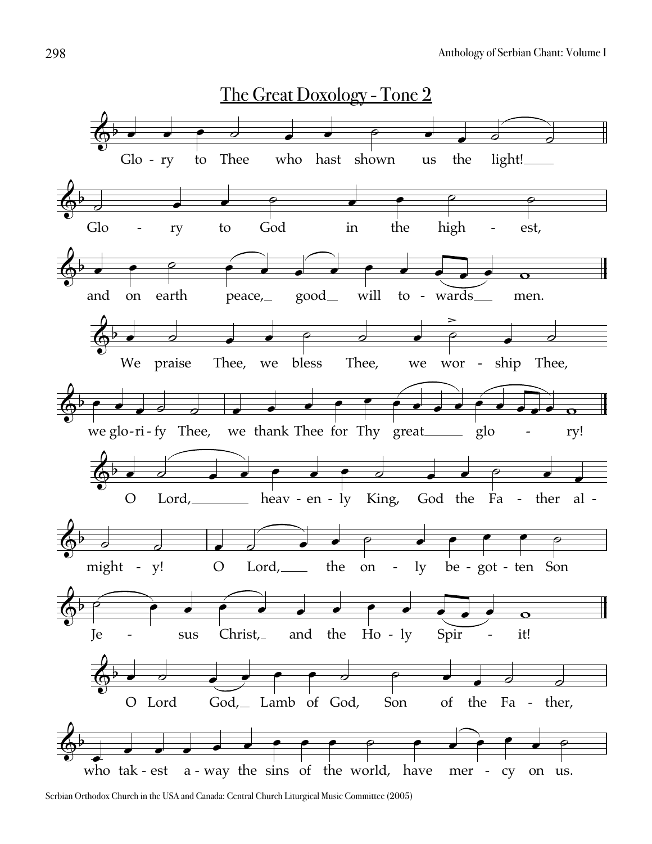

Serbian Orthodox Church in the USA and Canada: Central Church Liturgical Music Committee (2005)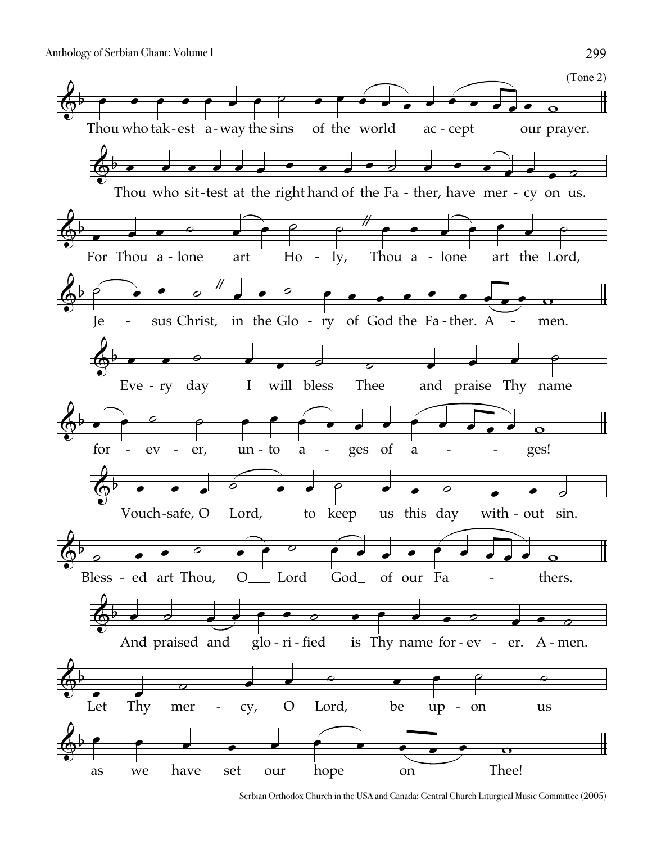

Serbian Orthodox Church in the USA and Canada: Central Church Liturgical Music Committee (2005)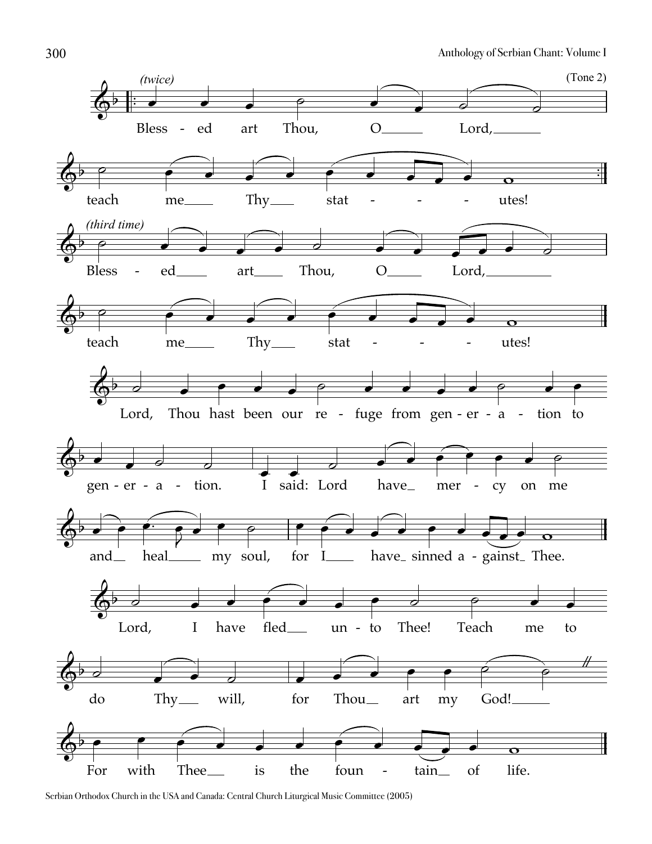

Serbian Orthodox Church in the USA and Canada: Central Church Liturgical Music Committee (2005)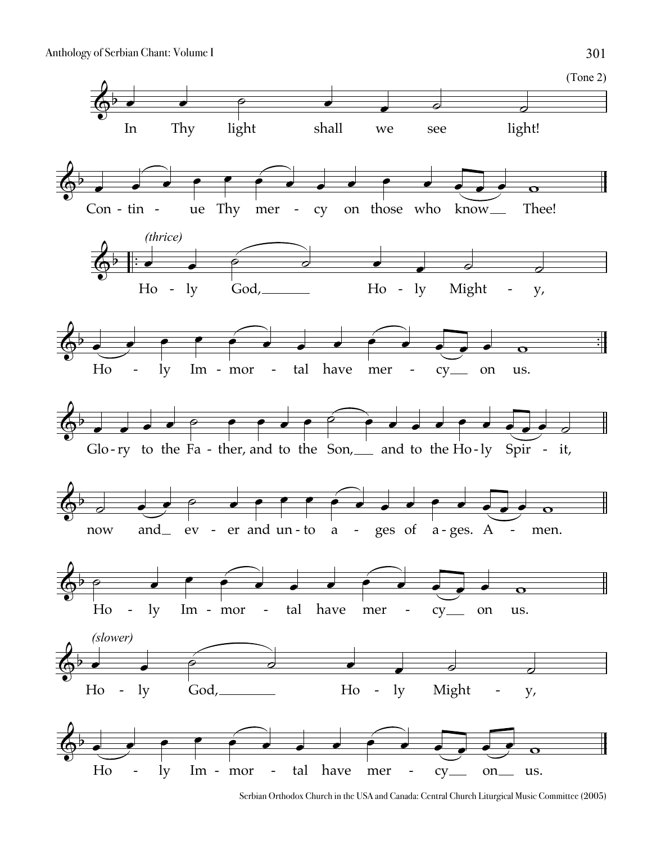

Serbian Orthodox Church in the USA and Canada: Central Church Liturgical Music Committee (2005)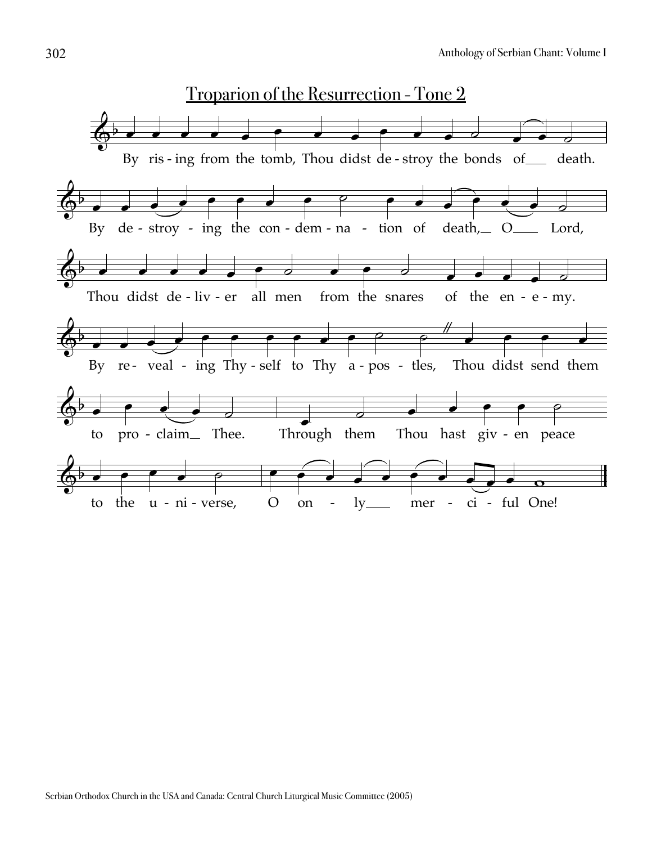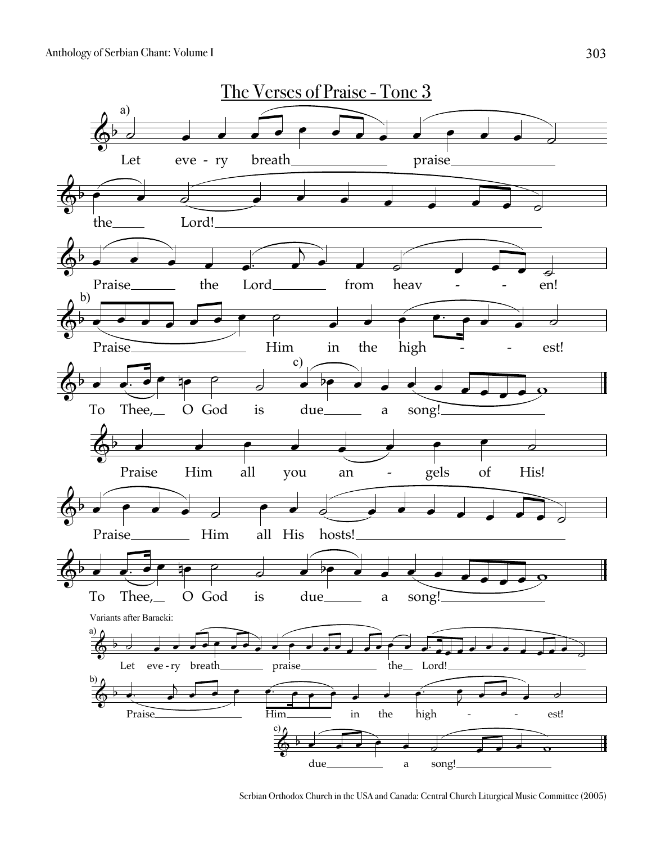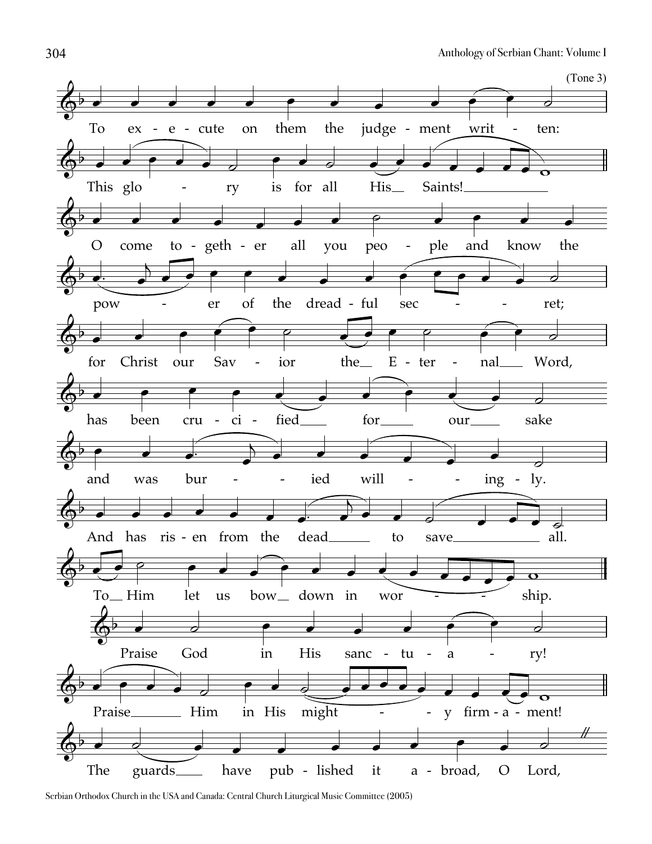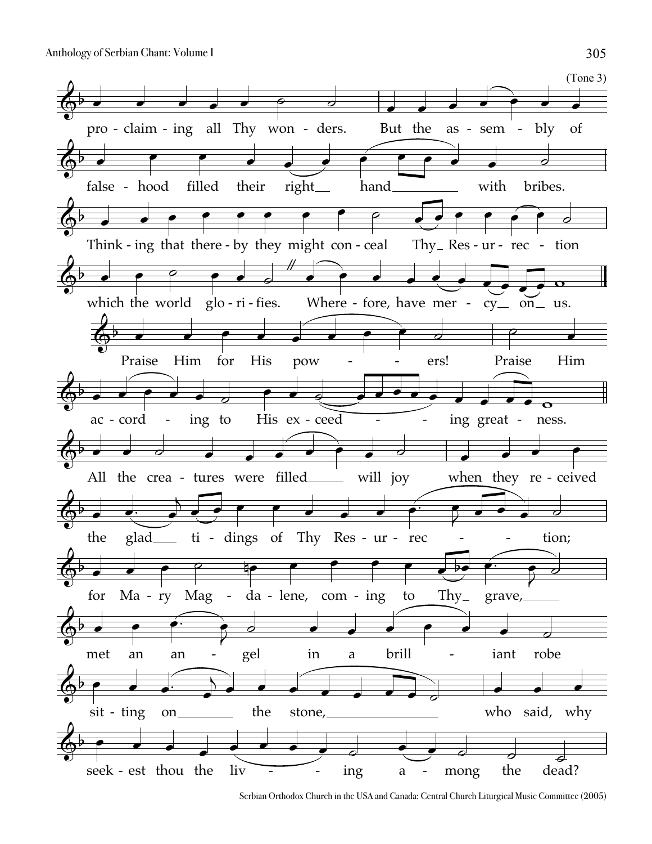

Serbian Orthodox Church in the USA and Canada: Central Church Liturgical Music Committee (2005)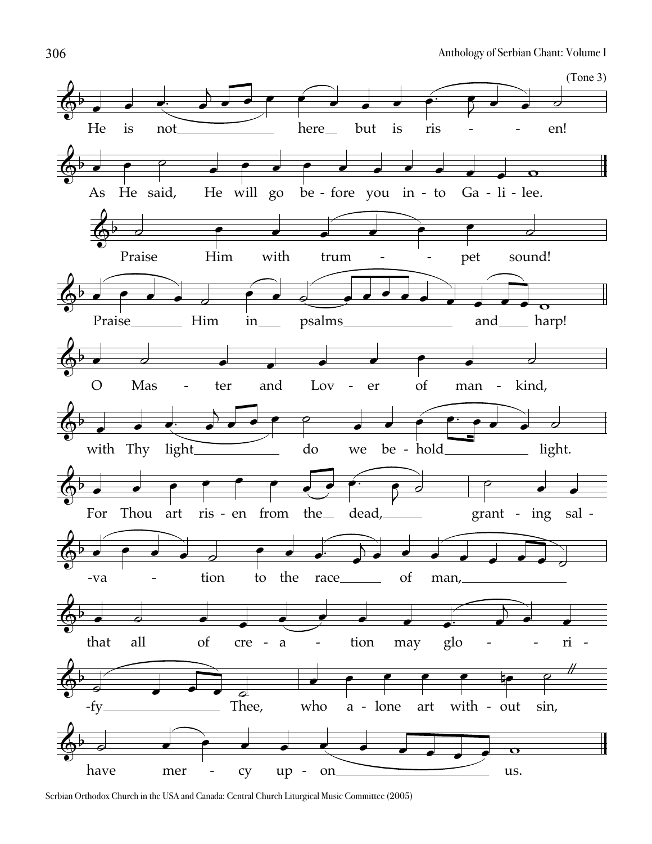

Serbian Orthodox Church in the USA and Canada: Central Church Liturgical Music Committee (2005)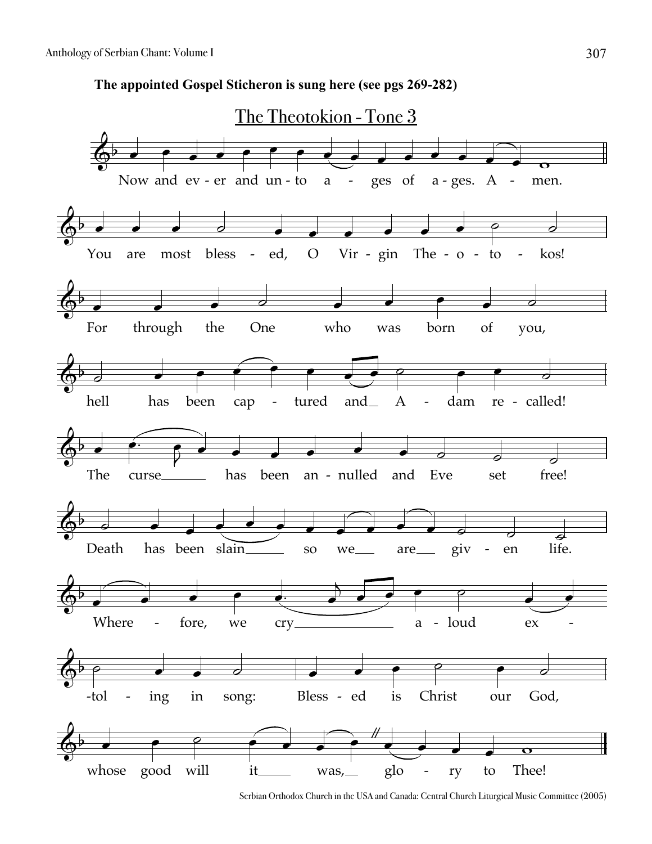**The appointed Gospel Sticheron is sung here (see pgs 269-282)**



Serbian Orthodox Church in the USA and Canada: Central Church Liturgical Music Committee (2005)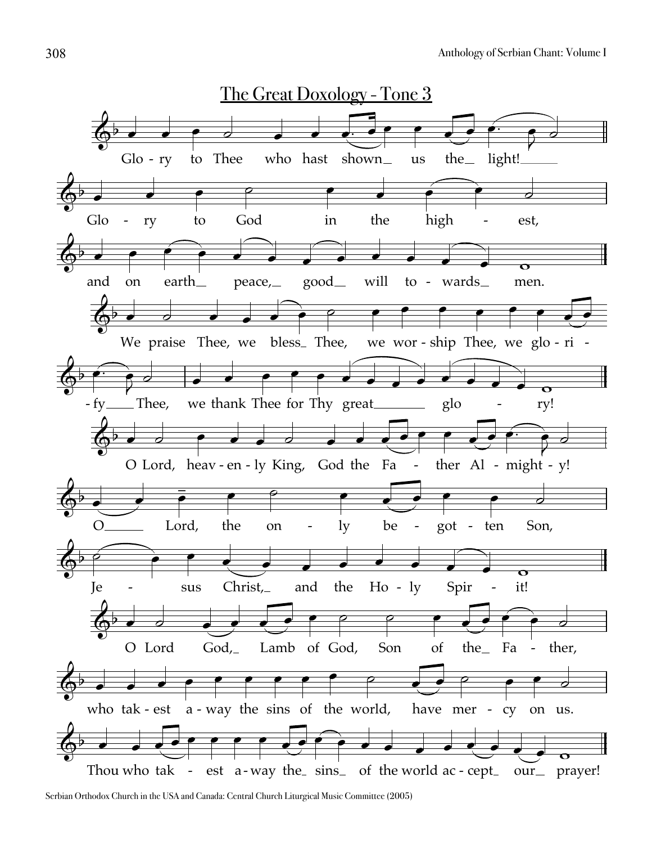

Serbian Orthodox Church in the USA and Canada: Central Church Liturgical Music Committee (2005)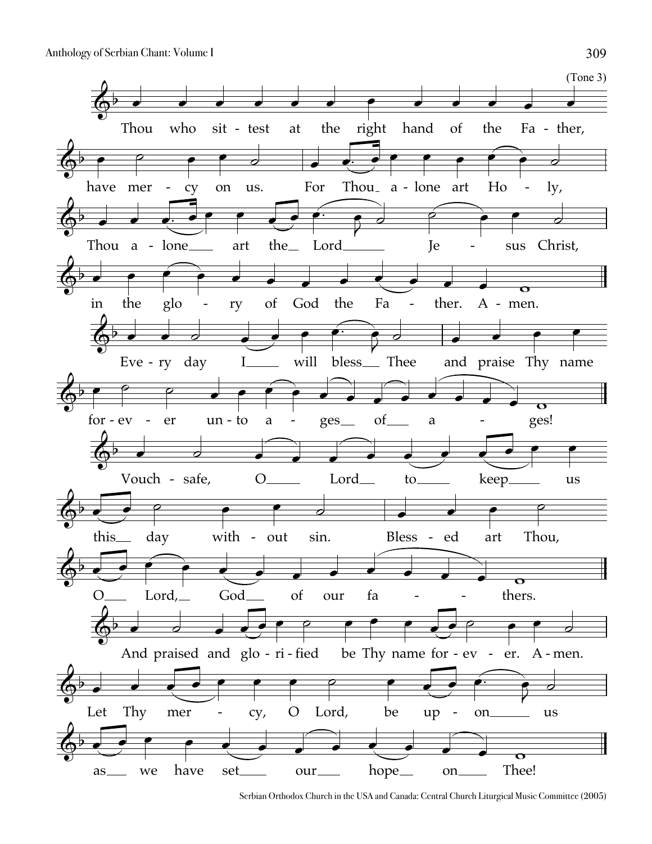

Serbian Orthodox Church in the USA and Canada: Central Church Liturgical Music Committee (2005)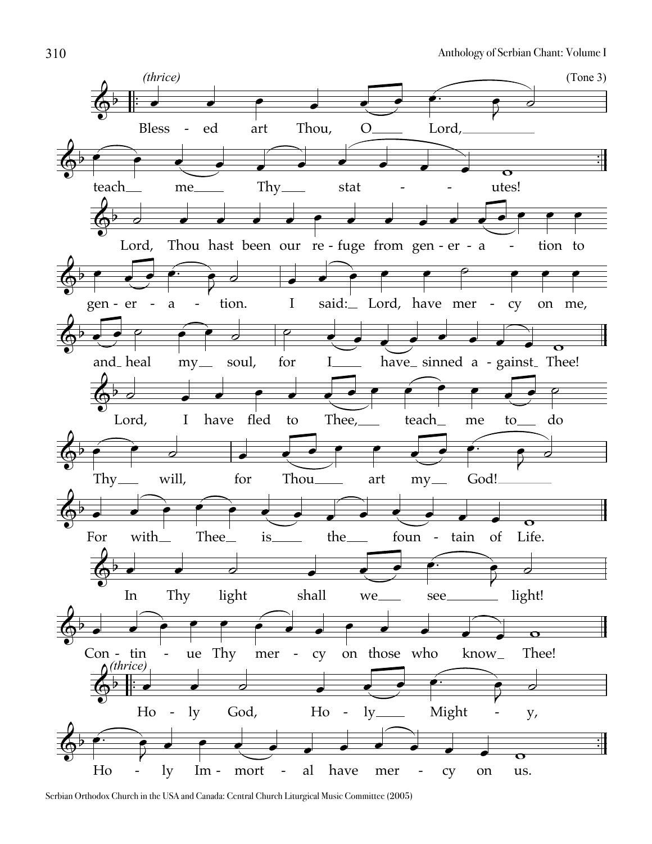

Serbian Orthodox Church in the USA and Canada: Central Church Liturgical Music Committee (2005)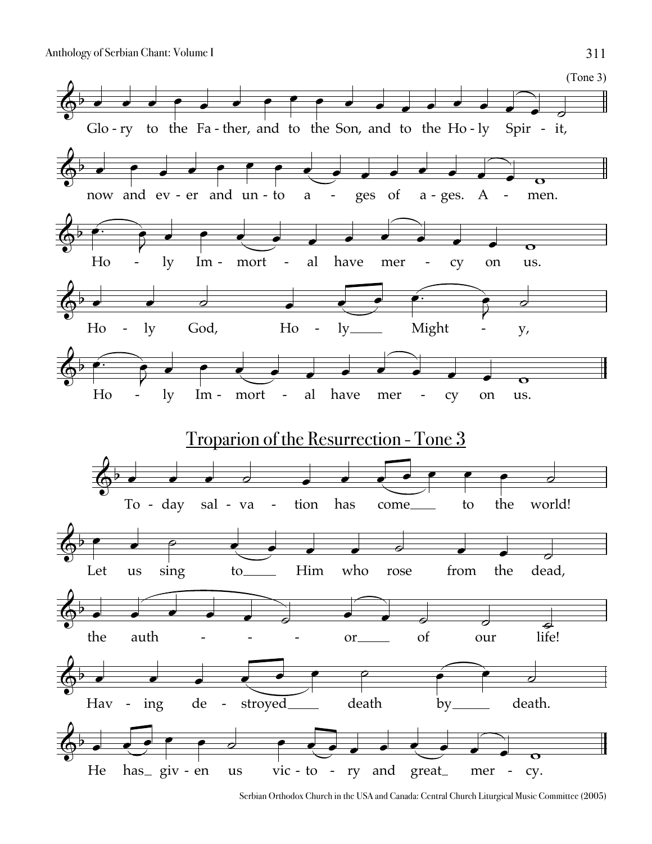

Serbian Orthodox Church in the USA and Canada: Central Church Liturgical Music Committee (2005)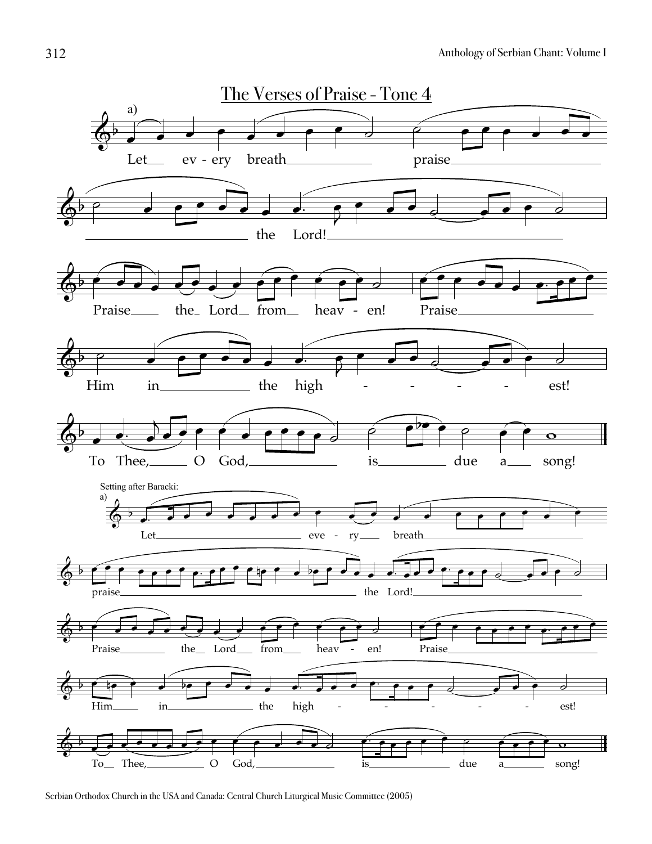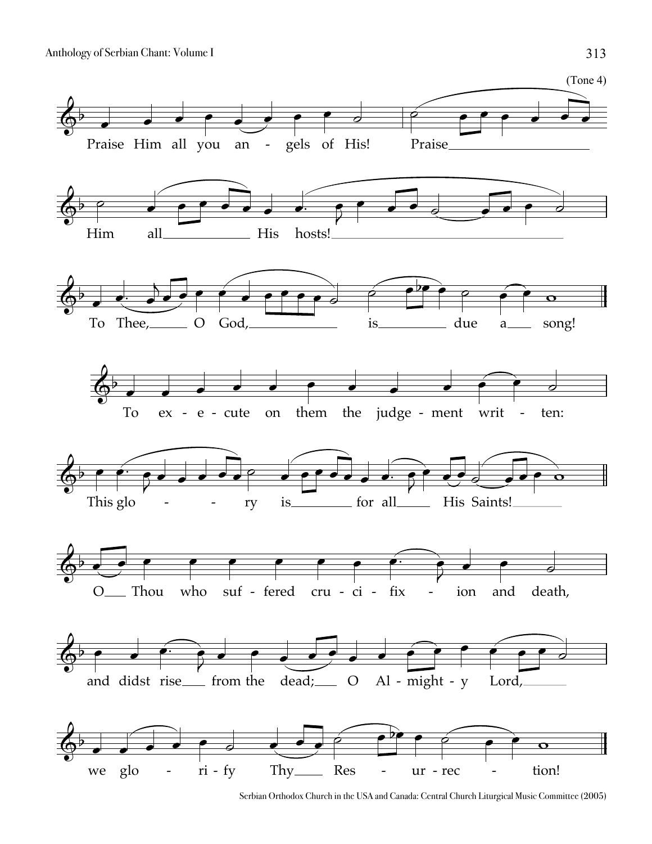

Serbian Orthodox Church in the USA and Canada: Central Church Liturgical Music Committee (2005)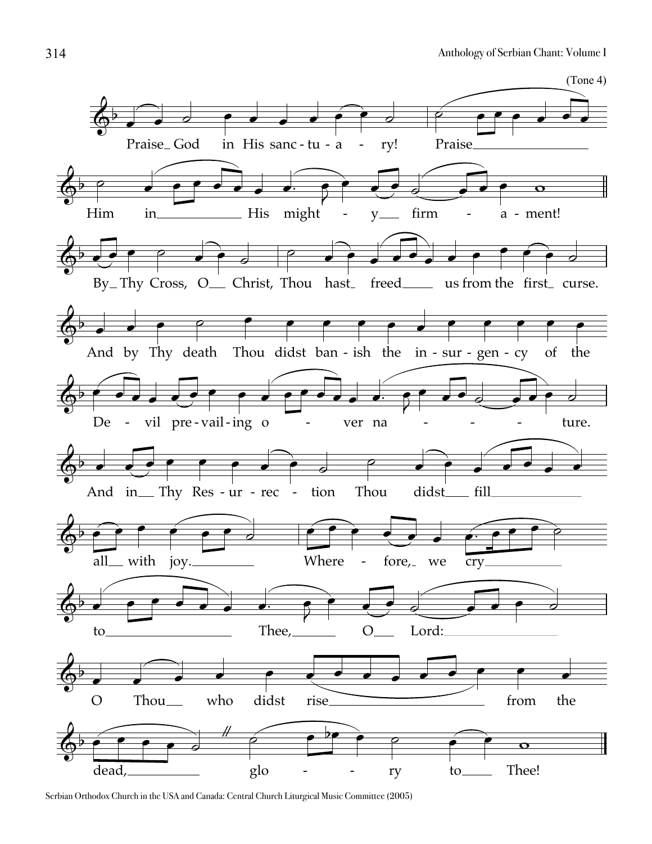

Serbian Orthodox Church in the USA and Canada: Central Church Liturgical Music Committee (2005)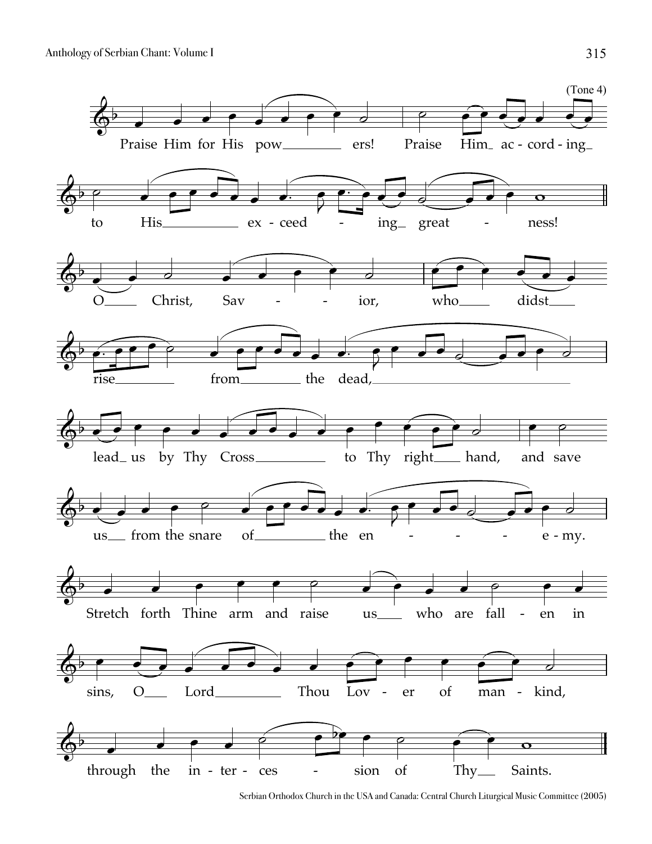

Serbian Orthodox Church in the USA and Canada: Central Church Liturgical Music Committee (2005)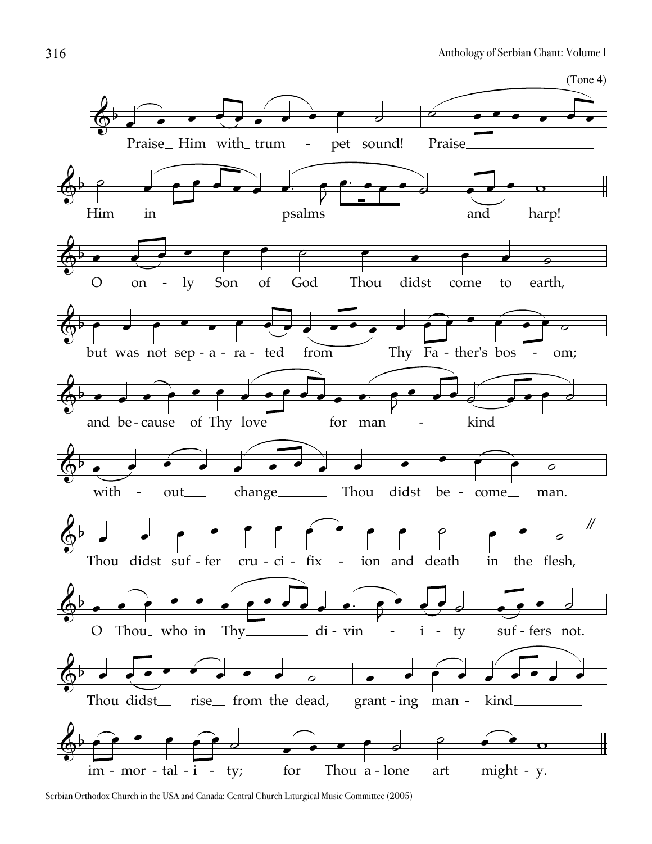

Serbian Orthodox Church in the USA and Canada: Central Church Liturgical Music Committee (2005)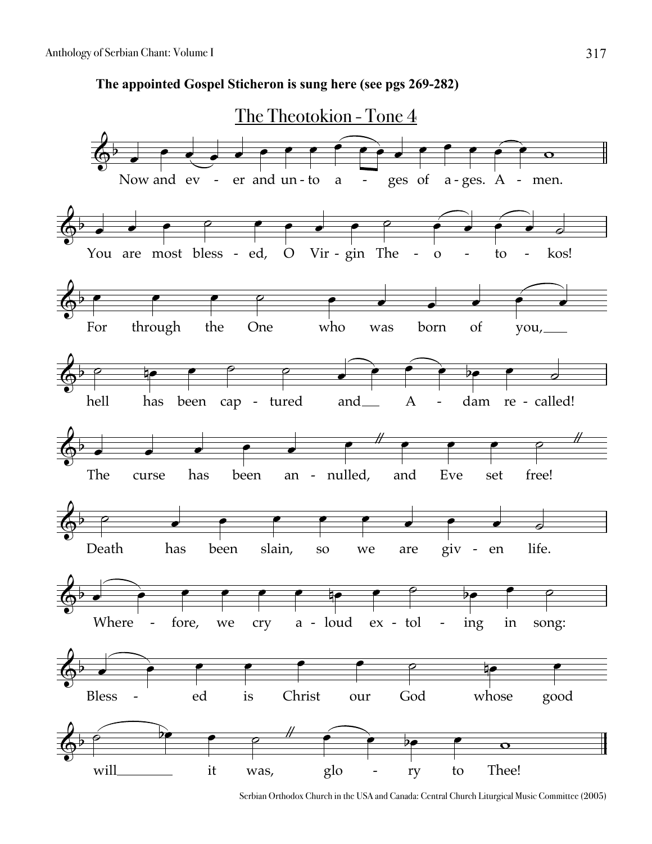**The appointed Gospel Sticheron is sung here (see pgs 269-282)**

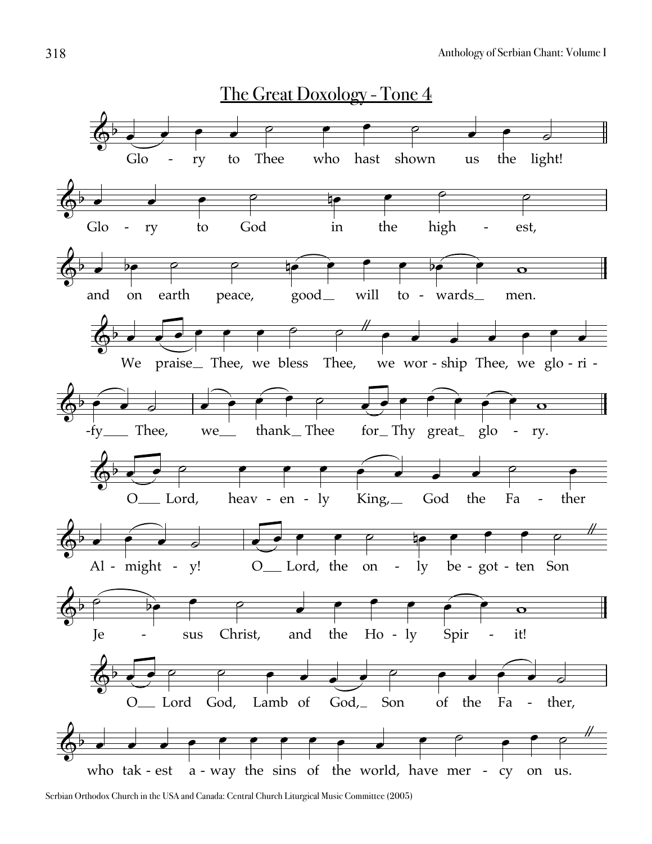

Serbian Orthodox Church in the USA and Canada: Central Church Liturgical Music Committee (2005)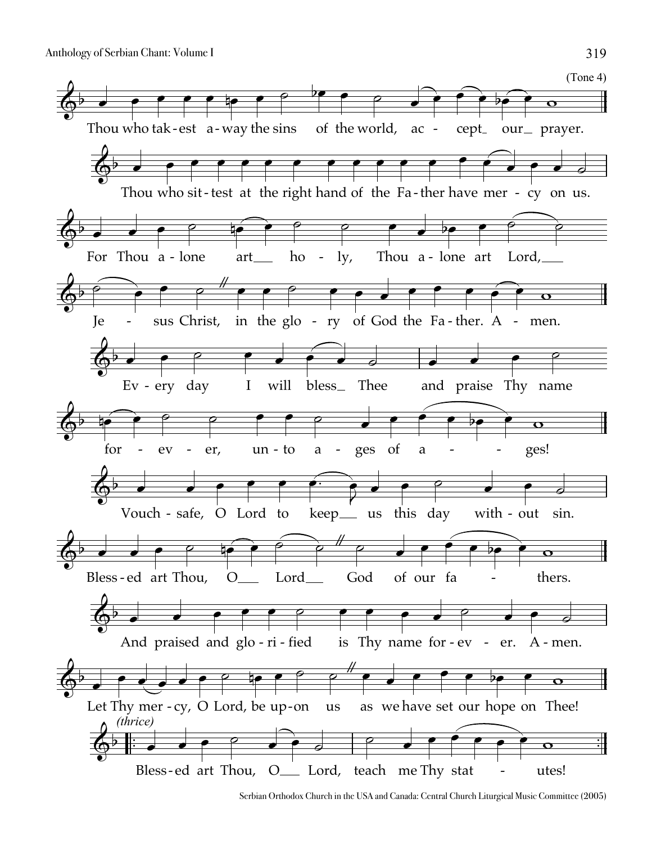

Serbian Orthodox Church in the USA and Canada: Central Church Liturgical Music Committee (2005)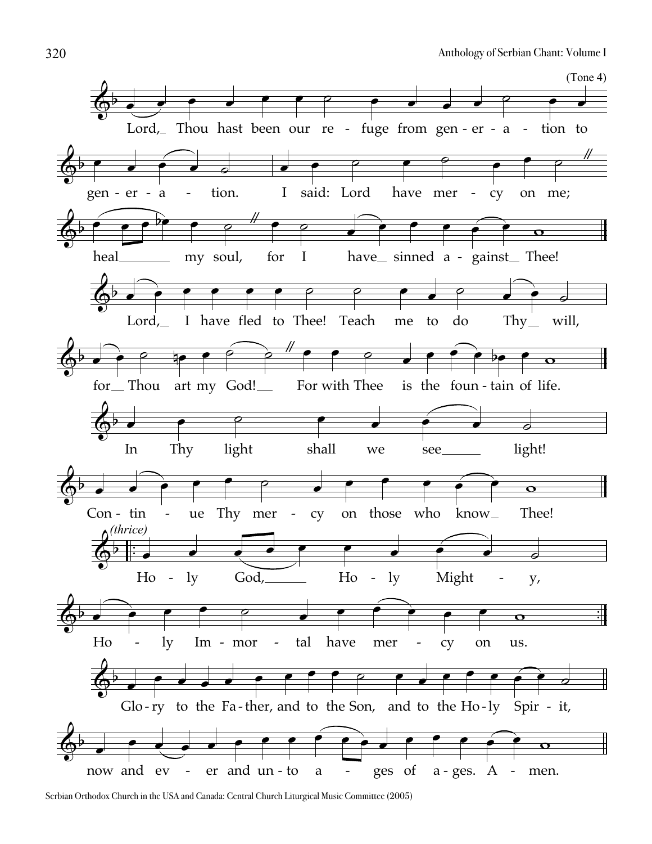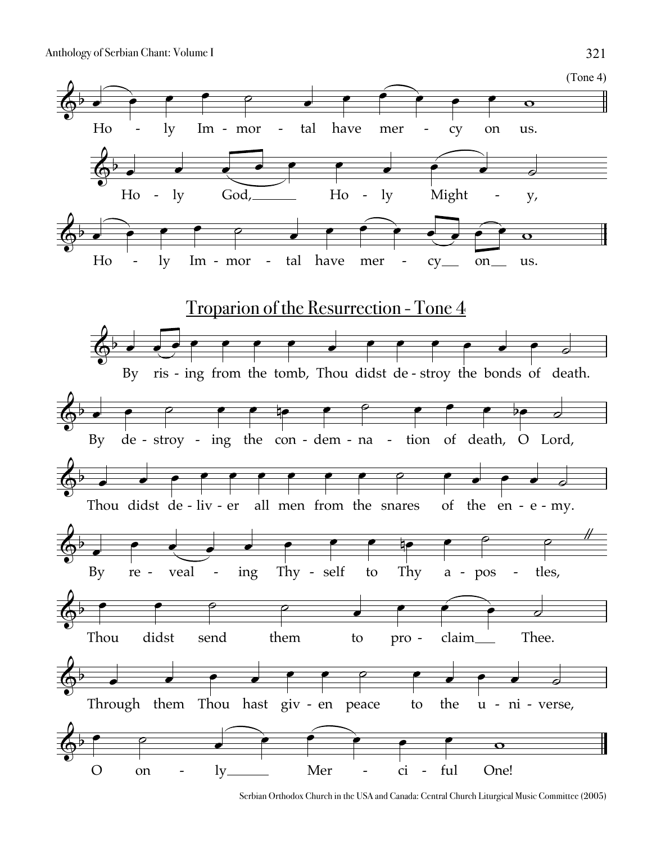

Serbian Orthodox Church in the USA and Canada: Central Church Liturgical Music Committee (2005)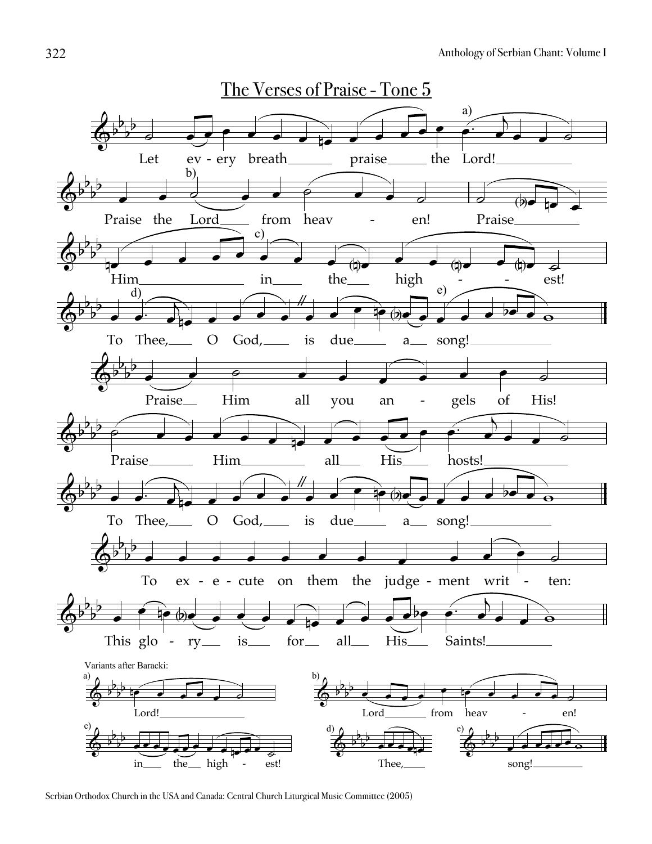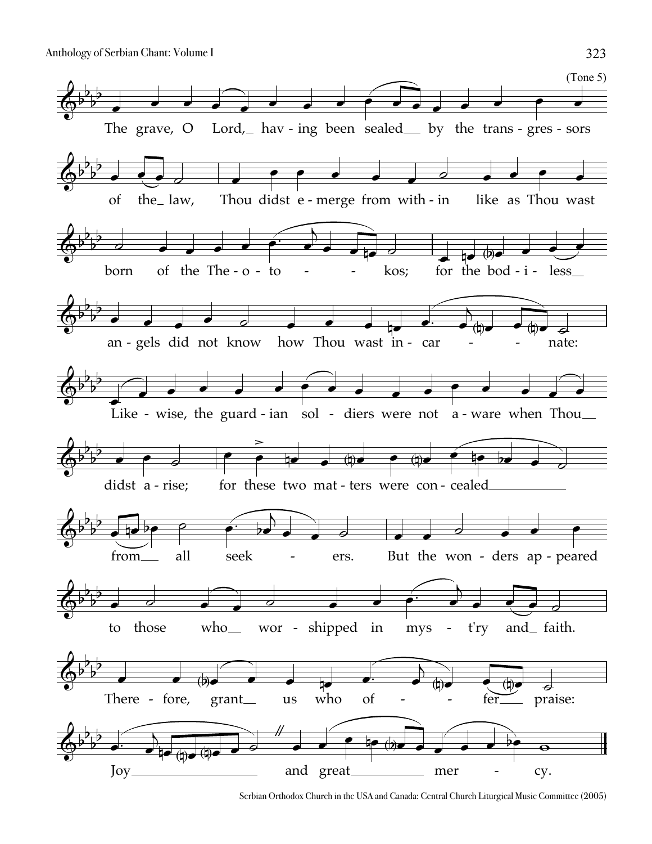

Serbian Orthodox Church in the USA and Canada: Central Church Liturgical Music Committee (2005)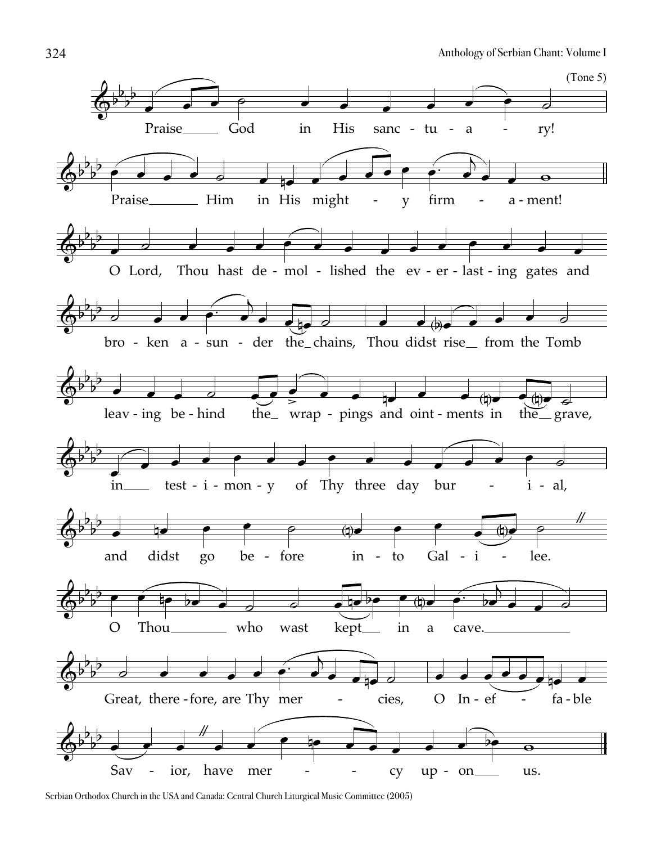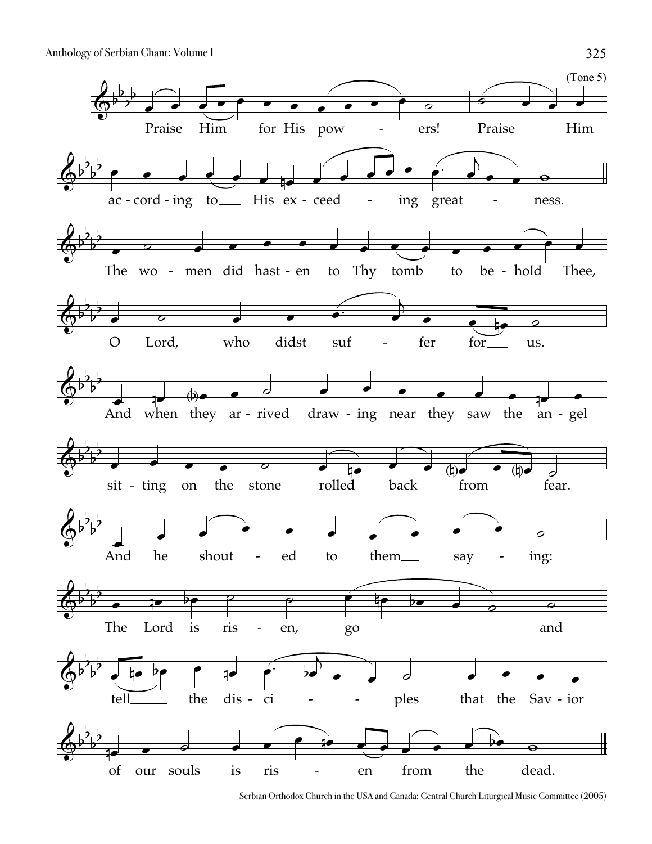

Serbian Orthodox Church in the USA and Canada: Central Church Liturgical Music Committee (2005)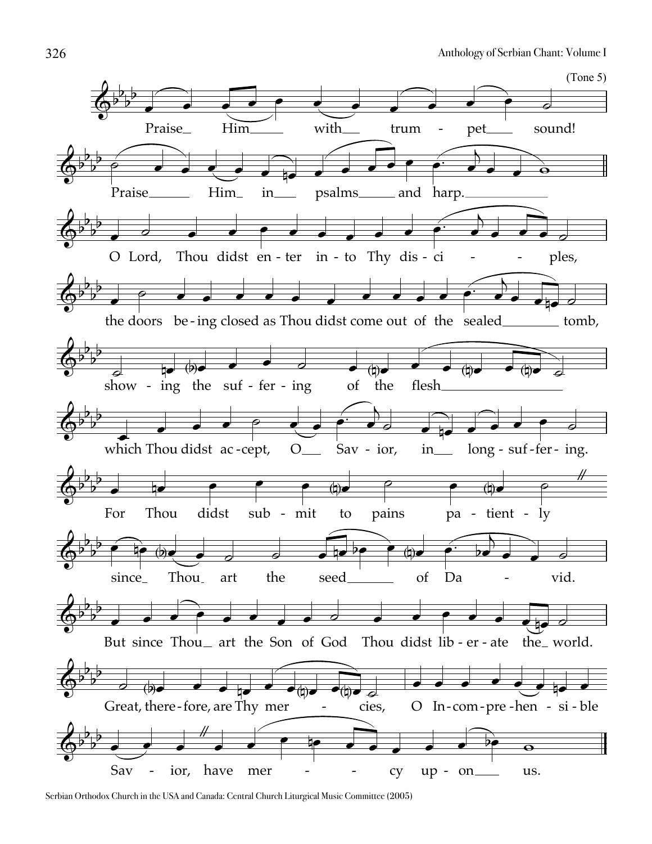

Serbian Orthodox Church in the USA and Canada: Central Church Liturgical Music Committee (2005)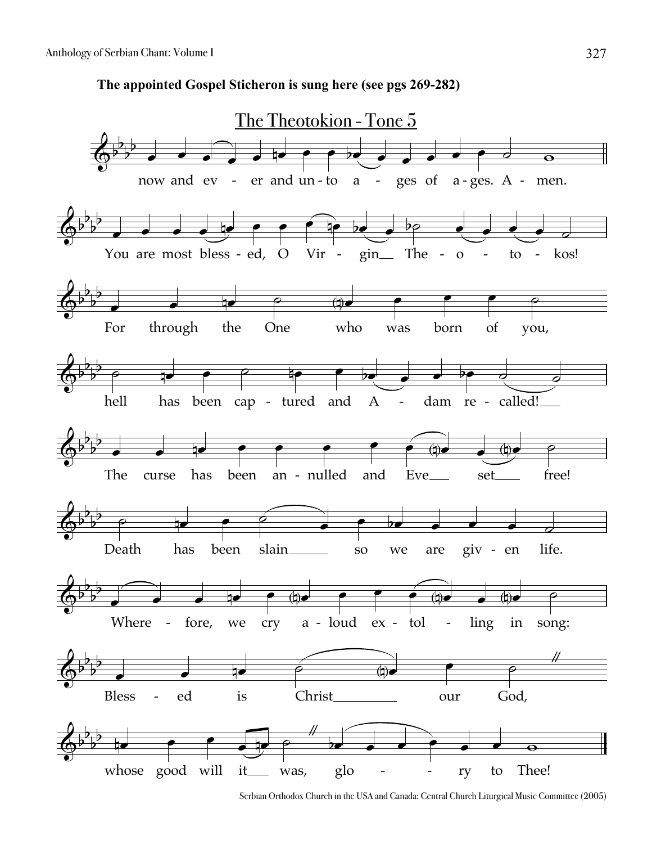**The appointed Gospel Sticheron is sung here (see pgs 269-282)**



Serbian Orthodox Church in the USA and Canada: Central Church Liturgical Music Committee (2005)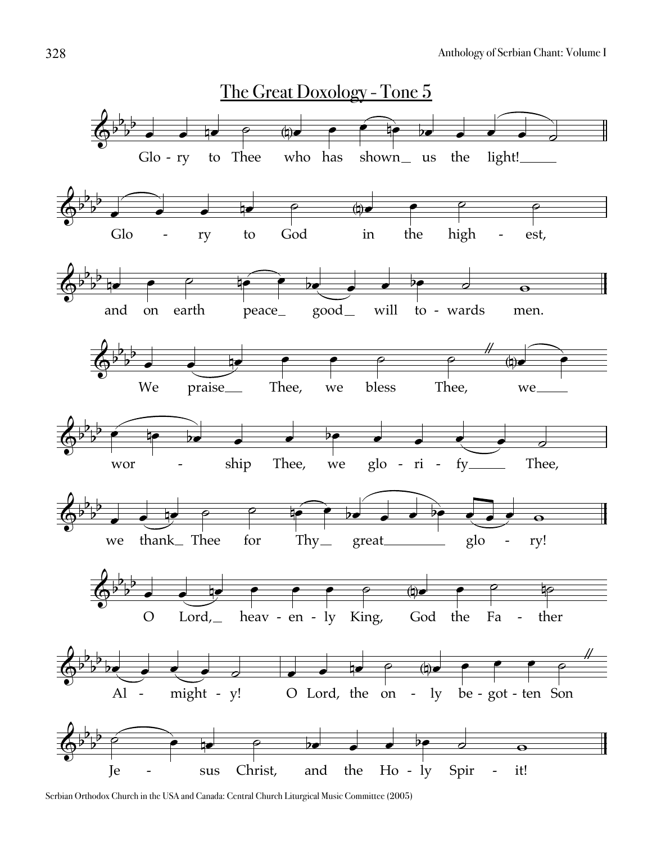

Serbian Orthodox Church in the USA and Canada: Central Church Liturgical Music Committee (2005)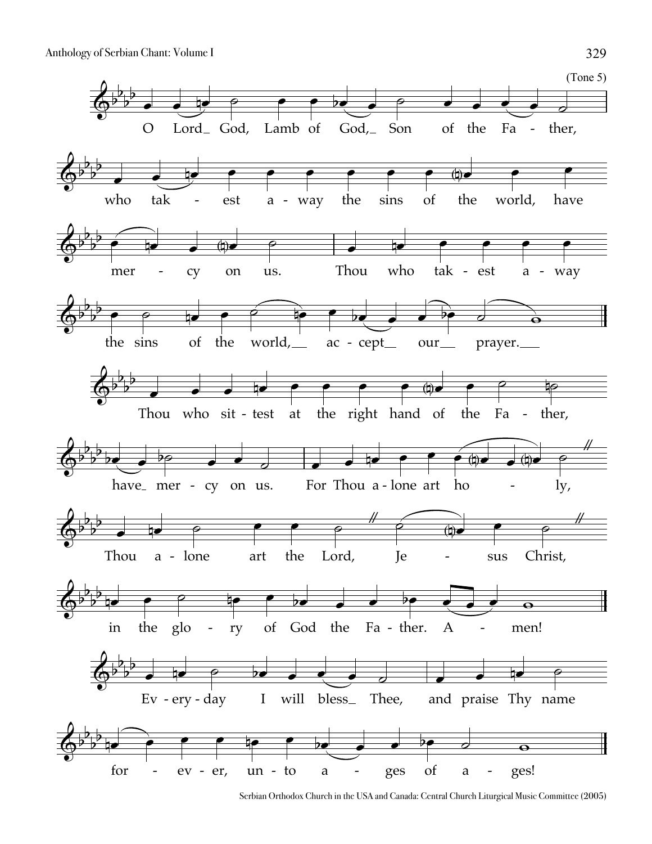

Serbian Orthodox Church in the USA and Canada: Central Church Liturgical Music Committee (2005)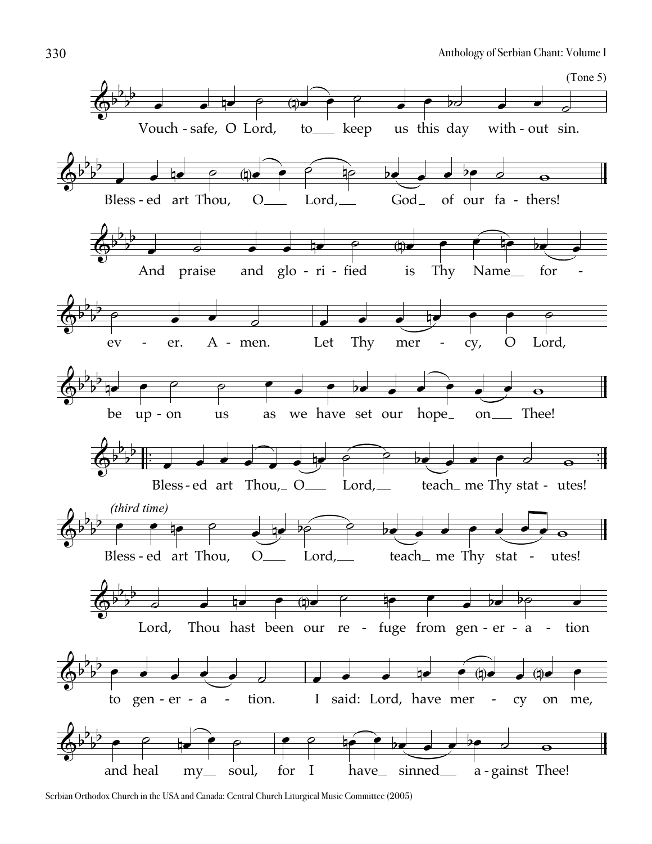

Serbian Orthodox Church in the USA and Canada: Central Church Liturgical Music Committee (2005)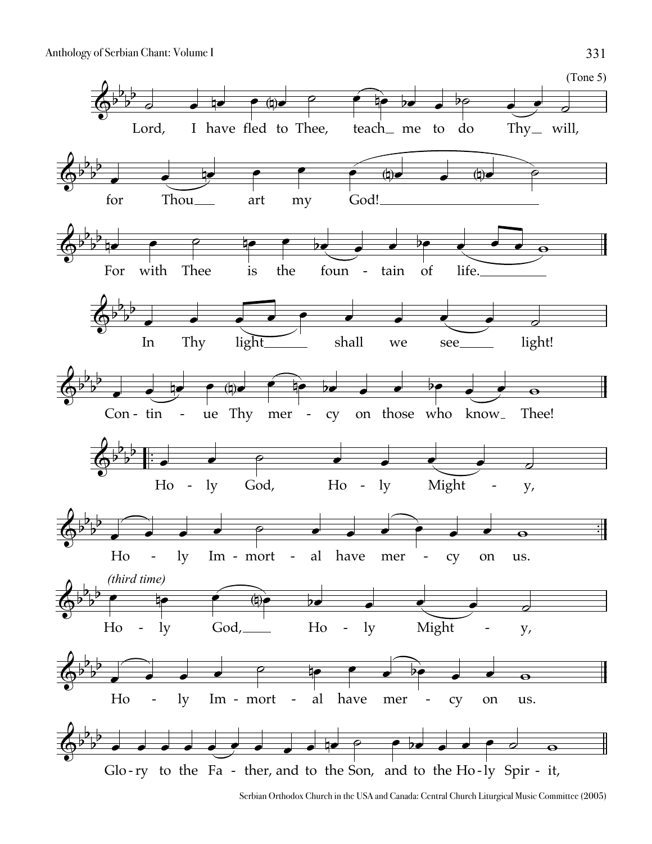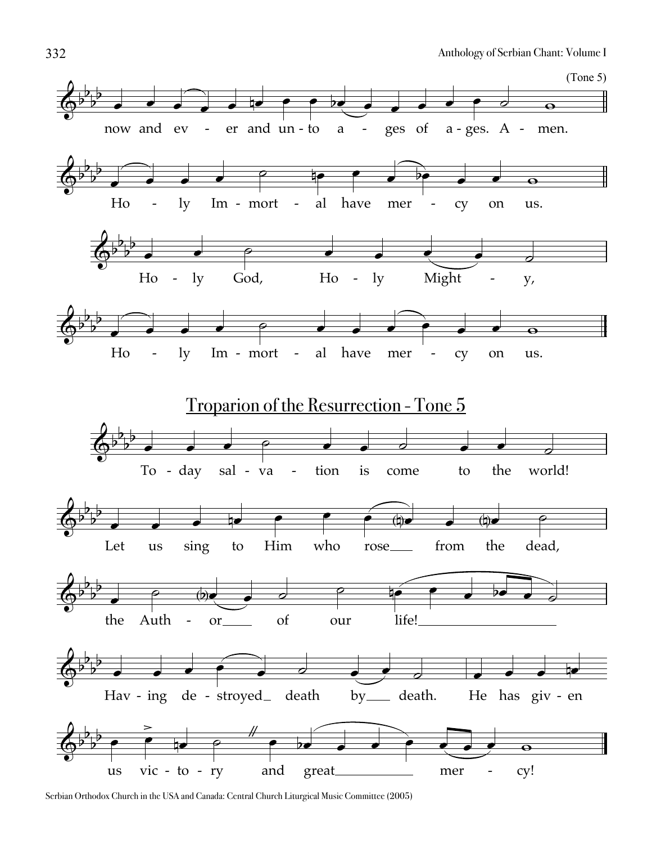

Serbian Orthodox Church in the USA and Canada: Central Church Liturgical Music Committee (2005)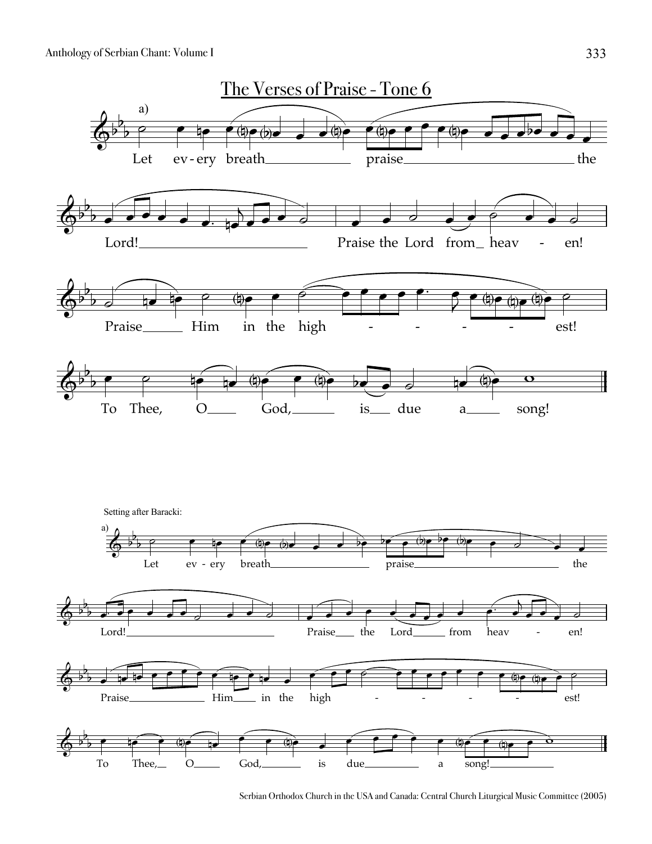

Serbian Orthodox Church in the USA and Canada: Central Church Liturgical Music Committee (2005)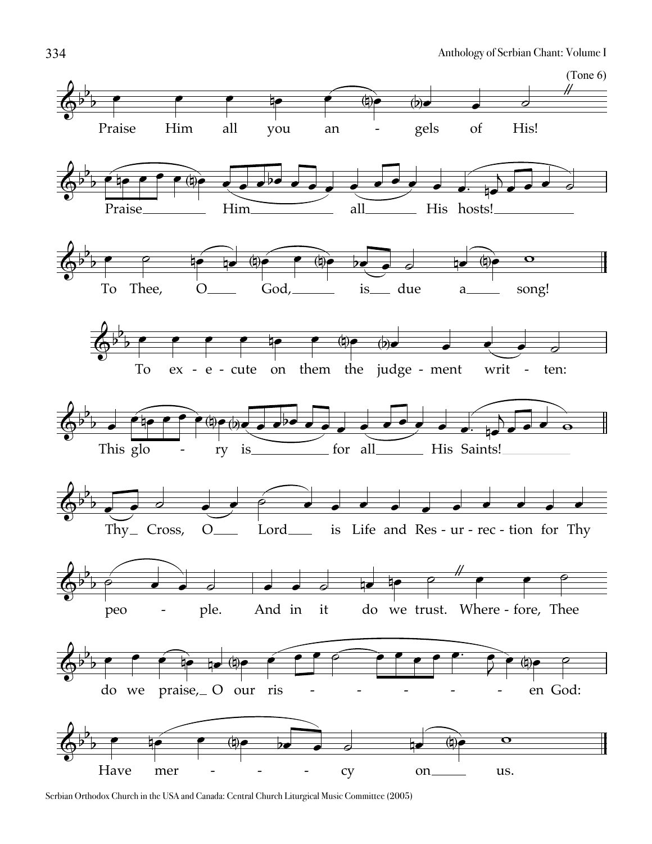

Serbian Orthodox Church in the USA and Canada: Central Church Liturgical Music Committee (2005)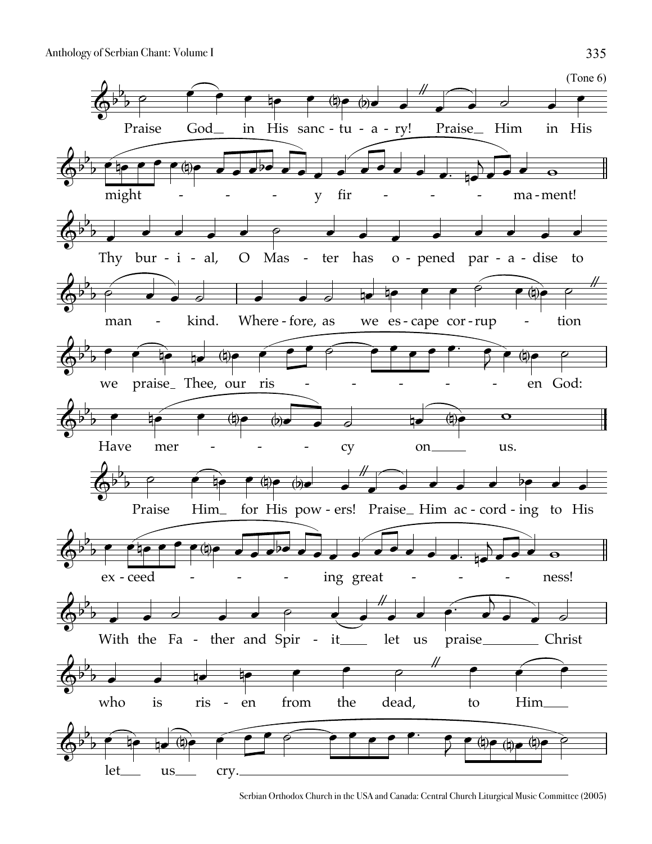

Serbian Orthodox Church in the USA and Canada: Central Church Liturgical Music Committee (2005)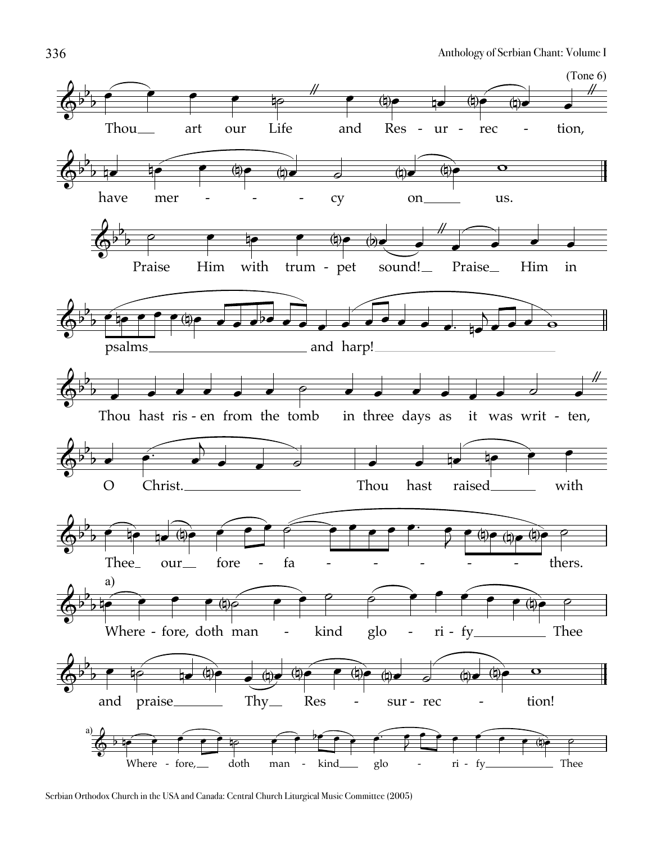

Serbian Orthodox Church in the USA and Canada: Central Church Liturgical Music Committee (2005)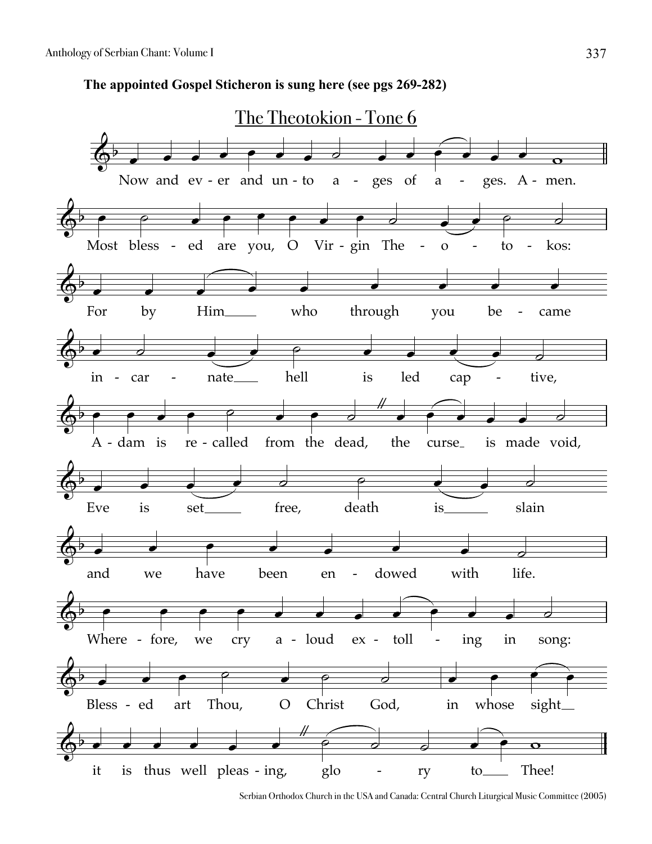**The appointed Gospel Sticheron is sung here (see pgs 269-282)**



Serbian Orthodox Church in the USA and Canada: Central Church Liturgical Music Committee (2005)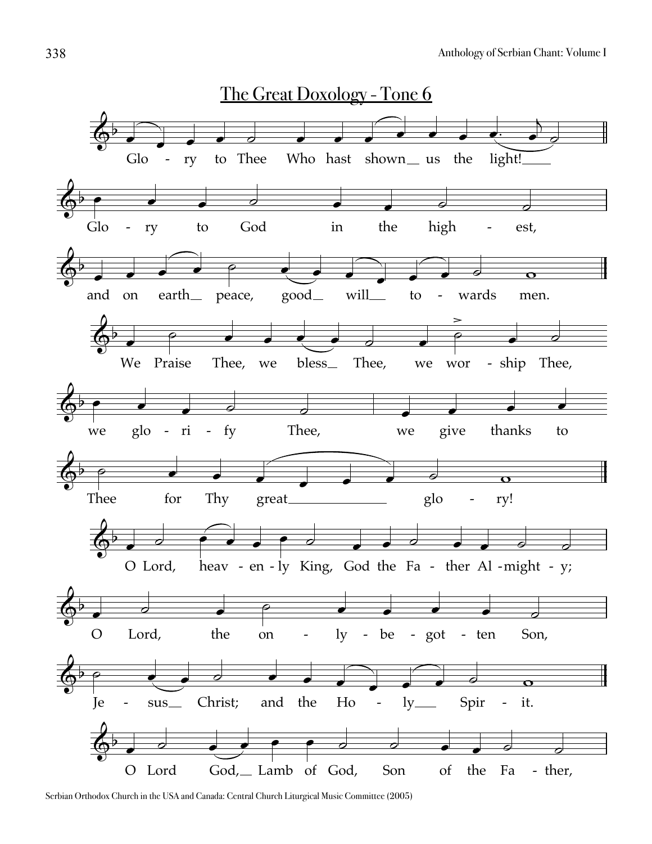

Serbian Orthodox Church in the USA and Canada: Central Church Liturgical Music Committee (2005)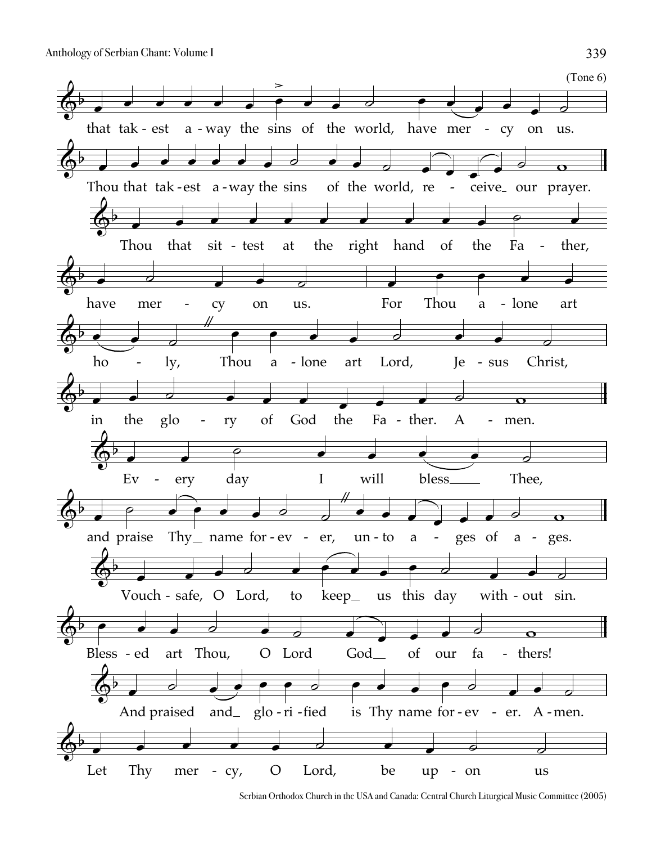(Tone 6)  $\overline{\mathbb{Q}^{\flat}}$ that tak - est a  $\overline{\bullet}$  $\overline{\phantom{a}}$  $\overline{\phantom{a}}$  $\overline{\phantom{a}}$ -way the sins of the world, have mer  $\overline{\phantom{0}}$  $\overline{\phantom{a}}$  $\overline{\bullet}$  $\geq$  $\overline{\phantom{0}}$  $\overline{\phantom{a}}$  $\overline{\phantom{a}}$  $\overline{\bullet}$  $\overline{\phantom{a}}$ - cy on  $\overline{\phantom{a}}$  $\overline{\phantom{a}}$ us.  $\overline{d}$  $\overline{\mathbb{Q}^{\flat}}$ Thou that tak-est a-way the sins  $\overline{\phantom{a}}$  $\overline{\phantom{a}}$  $\overline{\phantom{a}}$  $\overline{\phantom{a}}$  $\overline{\phantom{a}}$  $\overline{\phantom{a}}$  $\overline{\phantom{a}}$  $\overline{\phantom{a}}$ of the world, re  $\overline{\phantom{a}}$  $\overline{\phantom{a}}$  $\overline{\partial}$  $\overrightarrow{\cdot}$ external contract of the contract of the contract of the contract of the contract of the contract of the contract of the contract of the contract of the contract of the contract of the contract of the contract of the contr  $\overline{\bullet}$  $\overline{\phantom{a}}$  $\overline{\mathbf{o}}$  $\overline{\mathbb{Q}^{\flat}}$ Thou  $\overline{\phantom{a}}$ that  $\overline{\phantom{a}}$ sit - test at  $\overline{\phantom{a}}$  $\overline{\phantom{a}}$  $\overline{\phantom{a}}$ the  $\overline{\phantom{a}}$ right hand  $\overline{\phantom{a}}$  $\overline{\phantom{a}}$ of  $\overline{\phantom{a}}$ the  $\overline{\bullet}$ Fa  $\frac{1}{\rho}$ ther,  $\overline{\phantom{a}}$ -  $\overline{\mathbb{Q}}^{\flat}$ have  $\overline{\bullet}$ mer  $\overline{\phantom{a}}$ cy  $\overline{\phantom{a}}$ - on  $\overline{\bullet}$ us.  $\overline{\phantom{a}}$ For  $\overline{\phantom{a}}$ Thou  $\overline{\bullet}$ a  $\overline{\bullet}$ lone - art  $\overline{\phantom{a}}$  $\overline{\phantom{a}}$  $\overline{\mathbb{Q}}^{\flat}$ ho  $\begin{array}{c} \bullet \\ \hline \end{array}$ ly,  $\overline{\phantom{a}}$ -  $\frac{1}{2}$ Thou  $\overline{\bullet}$ a  $\overline{\bullet}$ lone - art  $\overline{\phantom{a}}$  $\overline{\phantom{a}}$ Lord,  $\overline{\partial}$ Je  $\overline{\phantom{a}}$ sus  $\overline{\bullet}$ Christ,  $\overline{\phantom{0}}$  $\overline{\mathbb{Q}}^{\flat}$ in  $\overline{\phantom{0}}$ the  $\overline{\phantom{a}}$ glo  $\overline{\partial}$ ry - of  $\frac{1}{\bullet}$  $\overline{\phantom{a}}$ God  $\overline{\phantom{a}}$ the  $\overline{\phantom{a}}$ Fa - ther. A  $\overline{\phantom{a}}$  $\overline{\phantom{a}}$  $\frac{1}{\mathcal{Q}}$ men.  $\mathbf \sigma$ -  $\overline{\mathbb{Q}^{\flat}}$ Ev  $\overline{\phantom{a}}$ ery  $\overline{\phantom{a}}$ - ery day  $\frac{1}{\rho}$ I  $\overline{\phantom{a}}$ will  $\overline{\phantom{a}}$ bless  $\overline{\ }$ Thee,  $\overline{\partial}$  $\overline{\Phi^{\flat}}$ and praise  $\overline{\phantom{a}}$  $\frac{1}{\sqrt{2}}$ Thy $\_$  name for-ev - er,  $\rightarrow$  $\overline{\phantom{0}}$  $\overline{\phantom{a}}$  $\overline{\phantom{a}}$  $\overline{\partial}$ -  $\frac{1}{2}$ un - to a  $\overline{\phantom{a}}$  $\overline{\phantom{a}}$  $\overrightarrow{ }$ - ges of  $\overline{\phantom{a}}$  $\overline{\phantom{a}}$ a -  $\overline{\bullet}$ ges.  $\overline{\mathbf{o}}$  $\overline{\mathbb{Q}^{\flat}}$ Vouch - safe, O Lord,  $\overline{\phantom{a}}$  $\overline{\phantom{a}}$  $\overline{\phantom{a}}$  $\overline{\phantom{0}}$ to  $\overline{\phantom{a}}$ keep  $\begin{array}{c} \bullet \\ \bullet \end{array}$ us this day  $\overline{\phantom{a}}$  $\overline{\bullet}$  $\overline{\phantom{a}}$ with - out) sin.  $\overline{\phantom{a}}$  $\overline{\phantom{a}}$  $\overline{\partial}$  $\overline{\mathbb{Q}^{\flat}}$ Bless - ed art  $\overline{\bullet}$  $\overline{\phantom{a}}$  $\overline{\phantom{a}}$ art Thou,  $\overline{\phantom{a}}$ O Lord  $\overline{\phantom{a}}$  $\overline{\partial}$ God  $\overrightarrow{\cdot}$ of  $\overline{\bullet}$ our  $\overline{\phantom{a}}$ fa  $\overline{\overline{a}}$ thers! -  $\overline{\mathbf{C}}$  $\overline{\mathbb{Q}^{\flat}}$ And praised  $\overline{\phantom{a}}$  $\overline{\phantom{a}}$ and\_ glo - ri -fied is  $\bullet$   $\bullet$  $\overline{\bullet}$  $\overline{\bullet}$  $\overline{\phantom{a}}$  $\overline{\bullet}$ Thy name for ev  $\overline{\phantom{a}}$  $\overline{\phantom{a}}$  $\overline{\bullet}$  $\overline{\phantom{a}}$ - ev - er. A  $\overline{\phantom{a}}$  $\overline{\phantom{a}}$ men. -  $\overline{\partial}$  $\overline{\mathbb{Q}}^{\flat}$ Let  $\overline{\phantom{a}}$ Thy  $\overline{\bullet}$ mer cy, - O  $\overline{\phantom{a}}$  $\overline{\phantom{a}}$  $\overline{\bullet}$ Lord,  $\overline{\phantom{a}}$ be  $\overline{\phantom{a}}$ up - on us  $\overline{\phantom{0}}$  $\frac{1}{2}$  $\overline{\partial}$ 

Serbian Orthodox Church in the USA and Canada: Central Church Liturgical Music Committee (2005)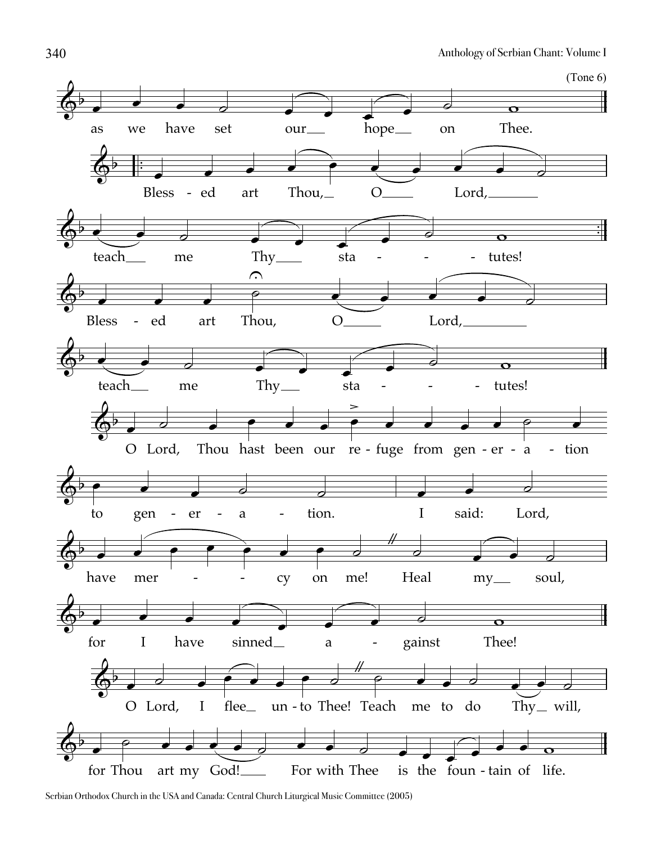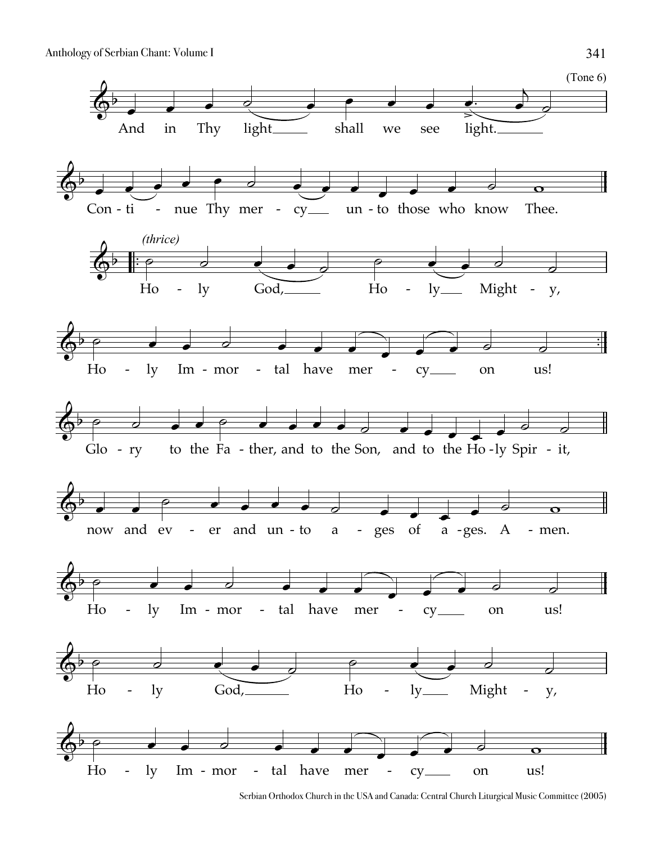

Serbian Orthodox Church in the USA and Canada: Central Church Liturgical Music Committee (2005)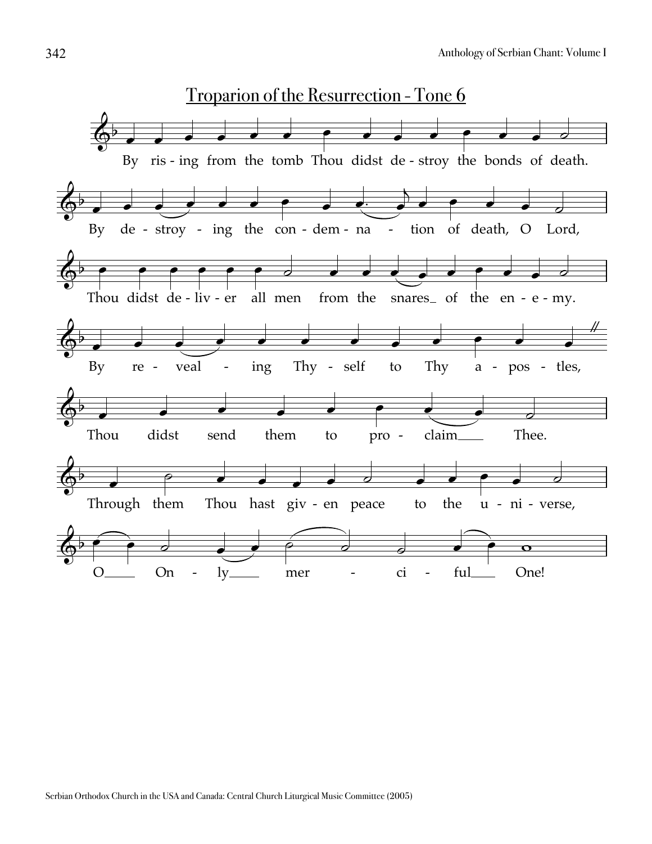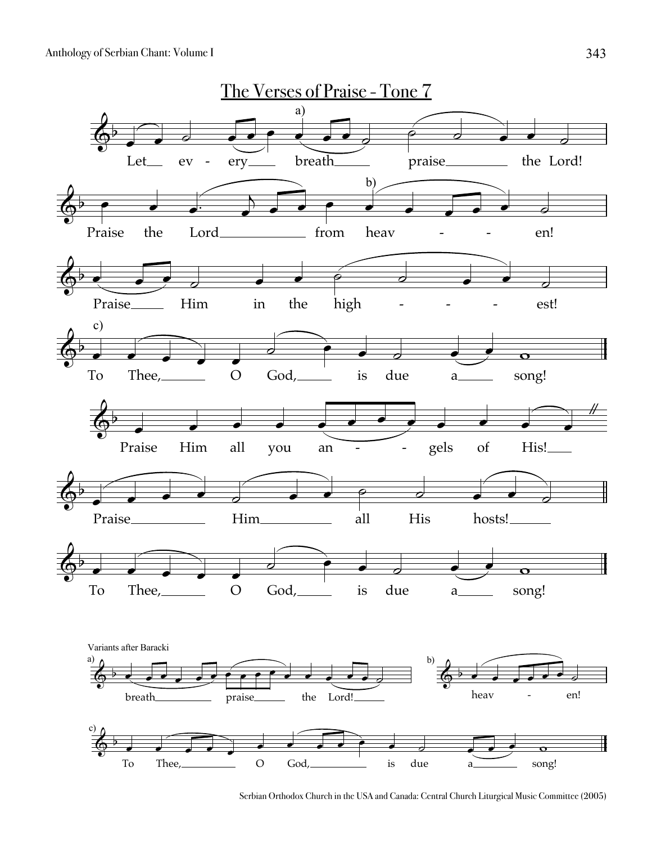

Serbian Orthodox Church in the USA and Canada: Central Church Liturgical Music Committee (2005)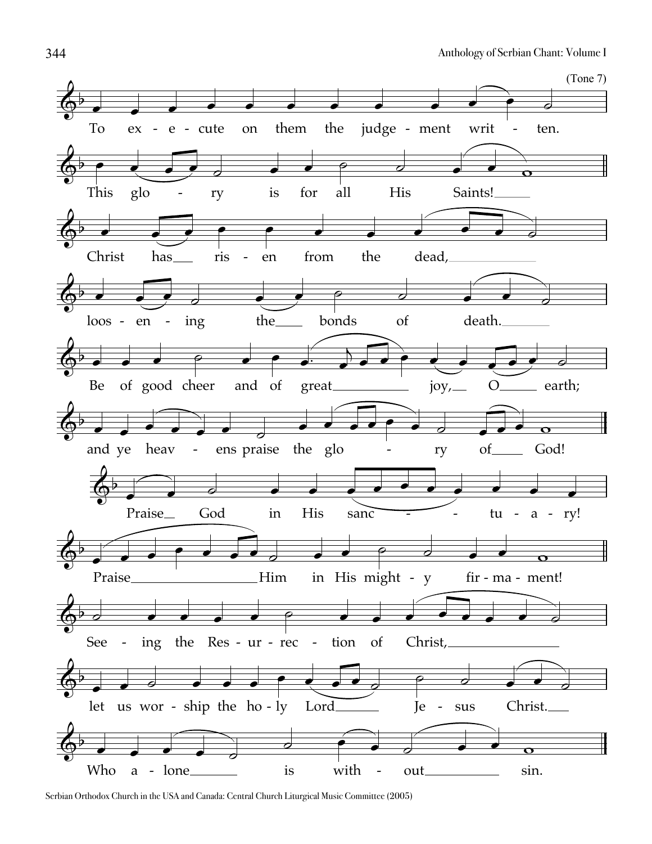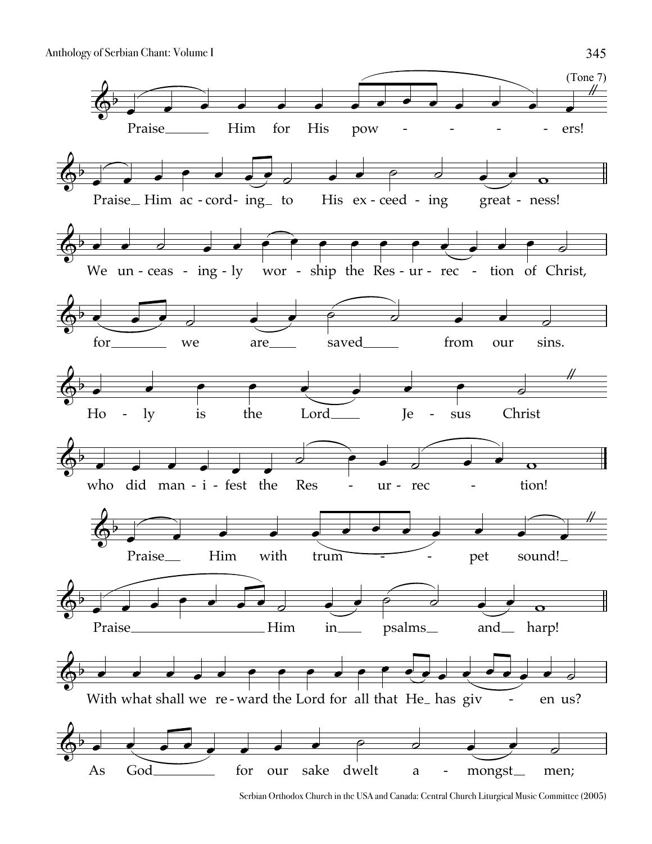

Serbian Orthodox Church in the USA and Canada: Central Church Liturgical Music Committee (2005)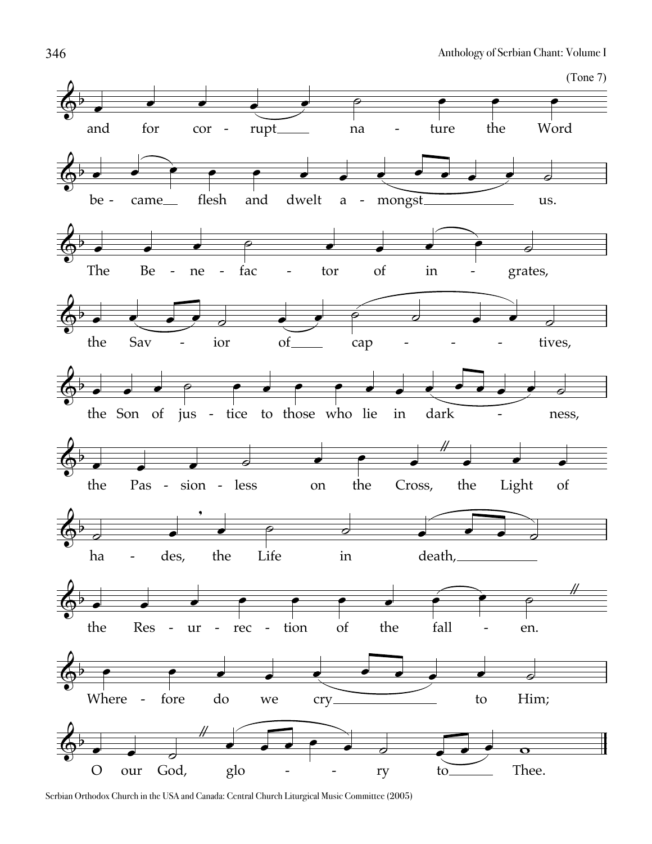

Serbian Orthodox Church in the USA and Canada: Central Church Liturgical Music Committee (2005)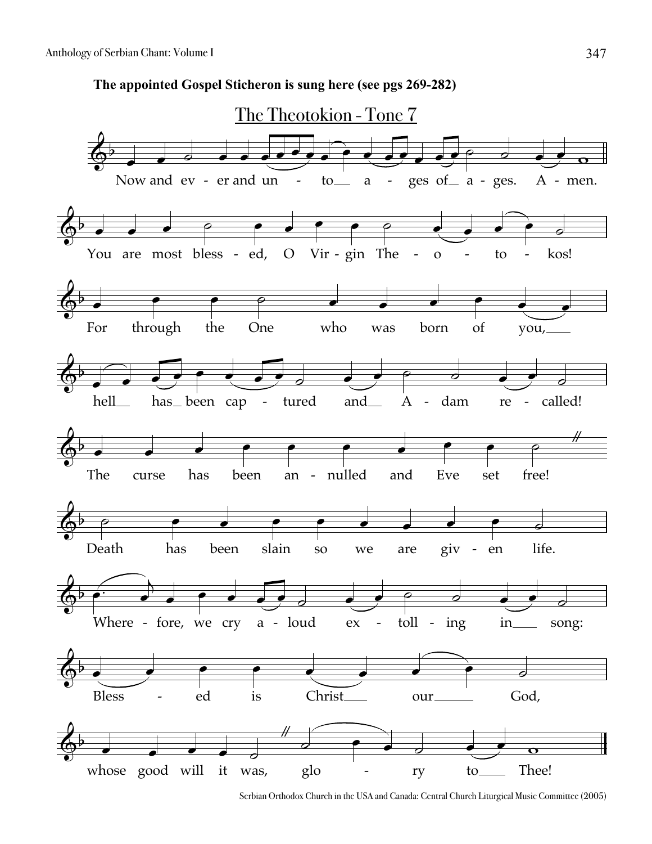**The appointed Gospel Sticheron is sung here (see pgs 269-282)**



Serbian Orthodox Church in the USA and Canada: Central Church Liturgical Music Committee (2005)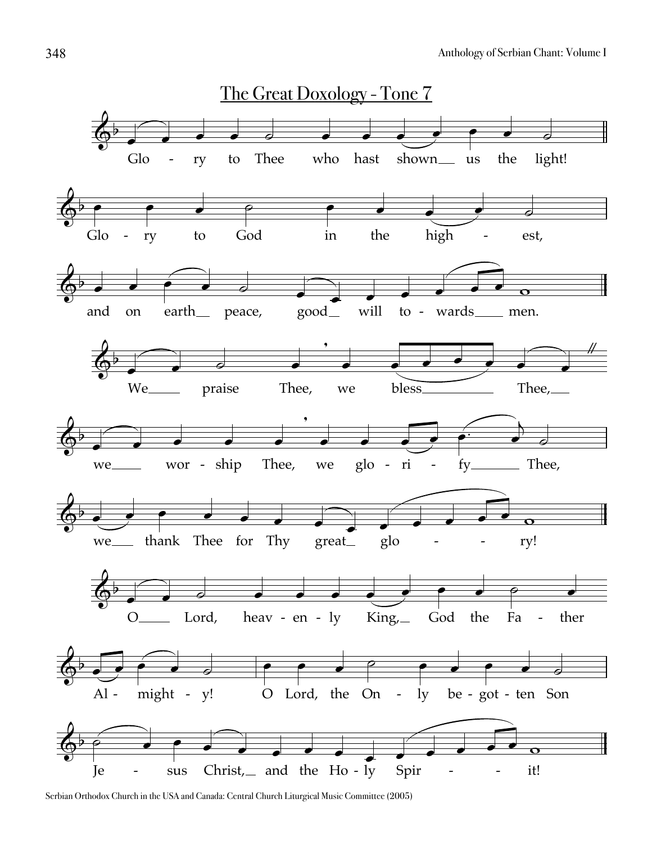

Serbian Orthodox Church in the USA and Canada: Central Church Liturgical Music Committee (2005)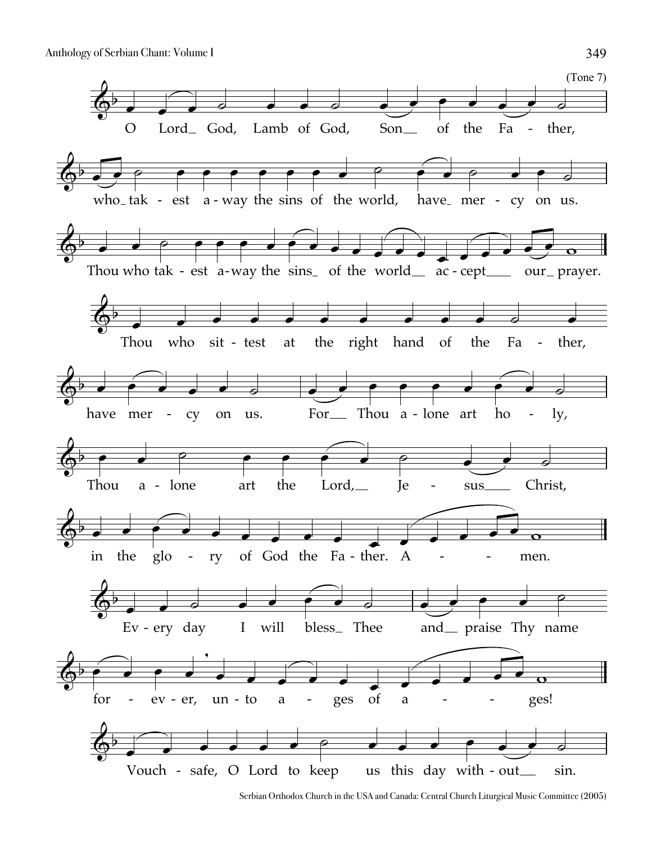

Serbian Orthodox Church in the USA and Canada: Central Church Liturgical Music Committee (2005)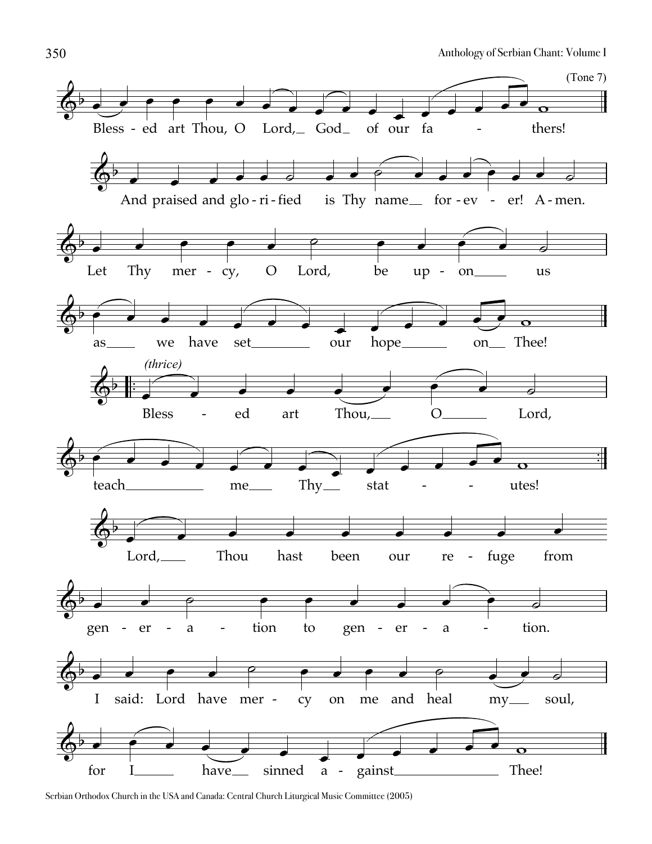

Serbian Orthodox Church in the USA and Canada: Central Church Liturgical Music Committee (2005)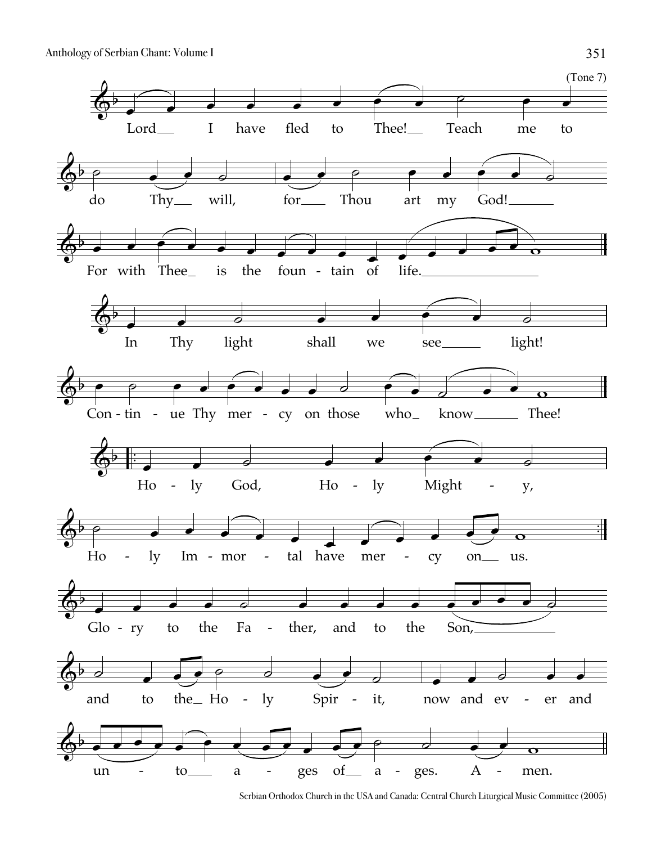

Serbian Orthodox Church in the USA and Canada: Central Church Liturgical Music Committee (2005)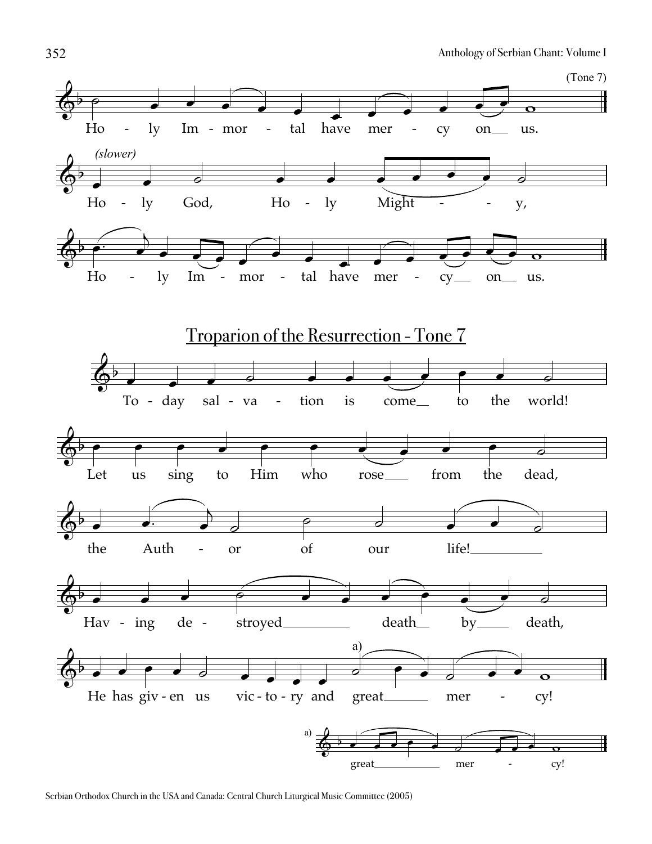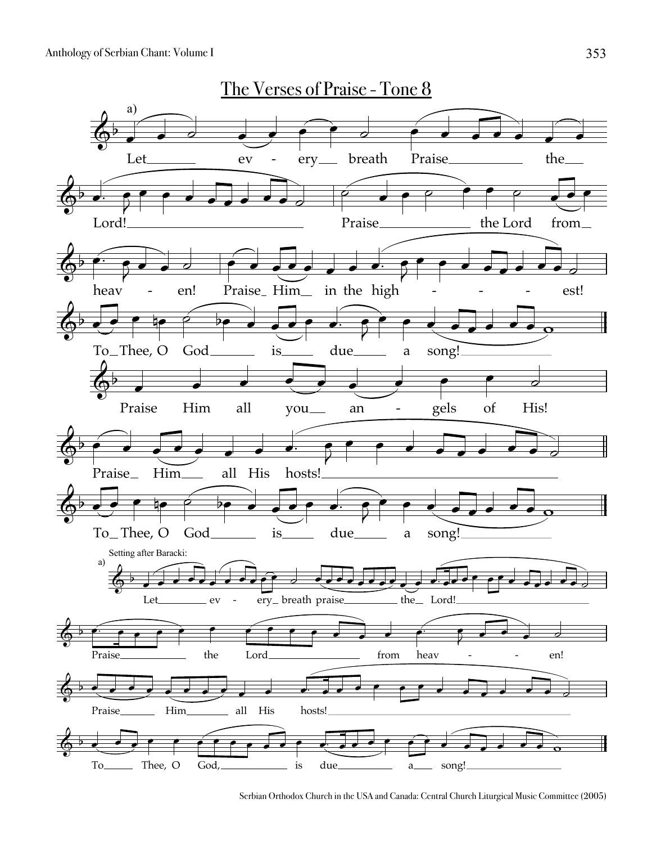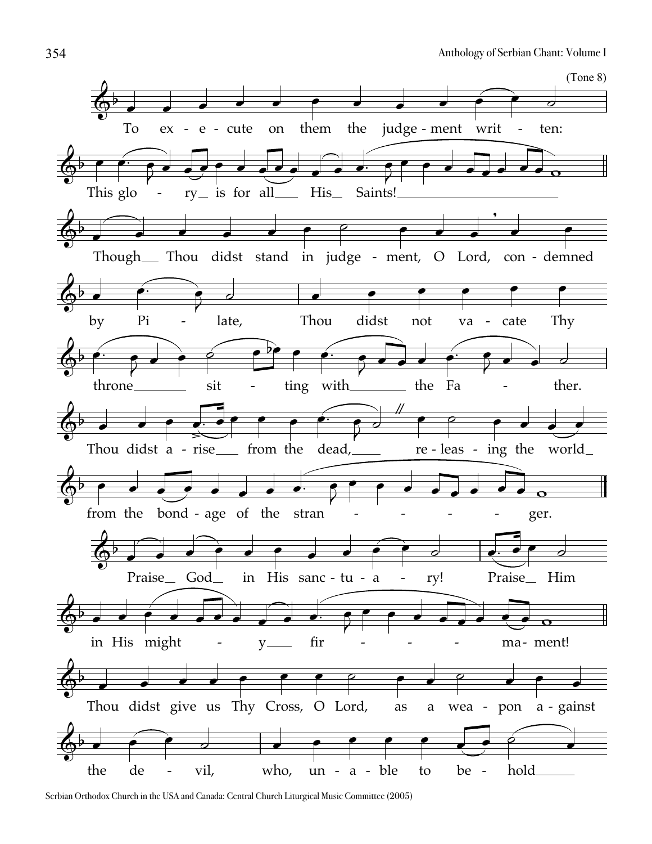

Serbian Orthodox Church in the USA and Canada: Central Church Liturgical Music Committee (2005)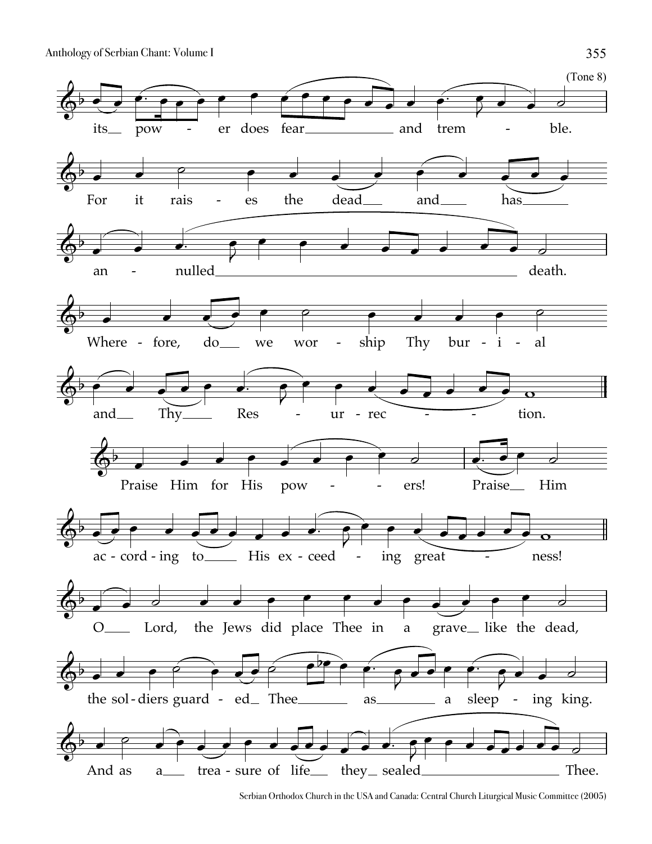Anthology of Serbian Chant: Volume I 355



Serbian Orthodox Church in the USA and Canada: Central Church Liturgical Music Committee (2005)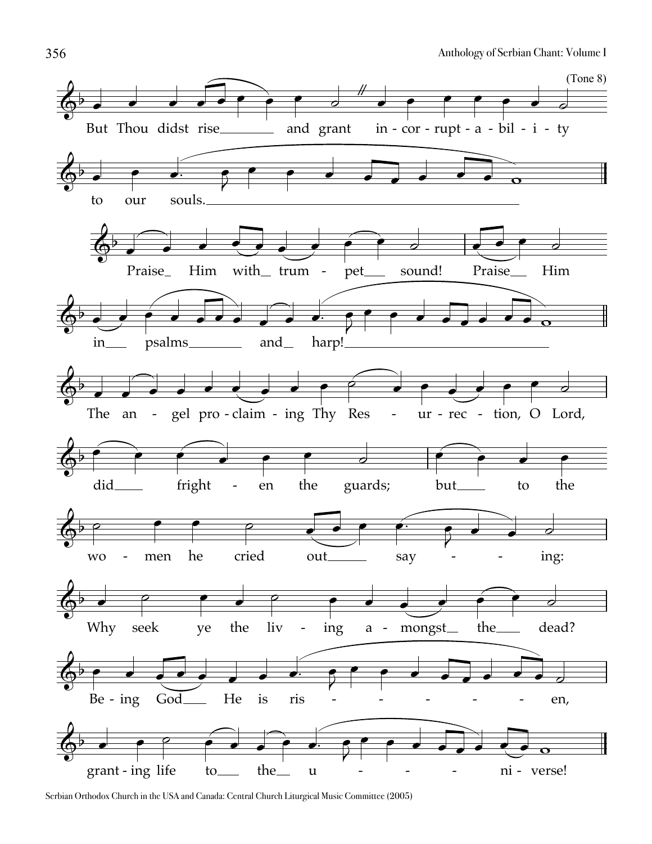

Serbian Orthodox Church in the USA and Canada: Central Church Liturgical Music Committee (2005)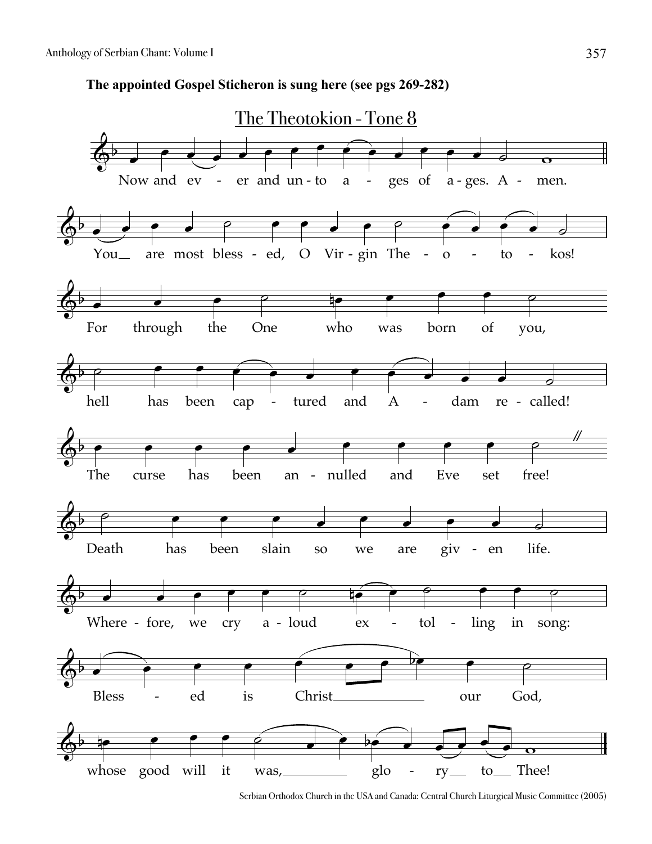**The appointed Gospel Sticheron is sung here (see pgs 269-282)**



Serbian Orthodox Church in the USA and Canada: Central Church Liturgical Music Committee (2005)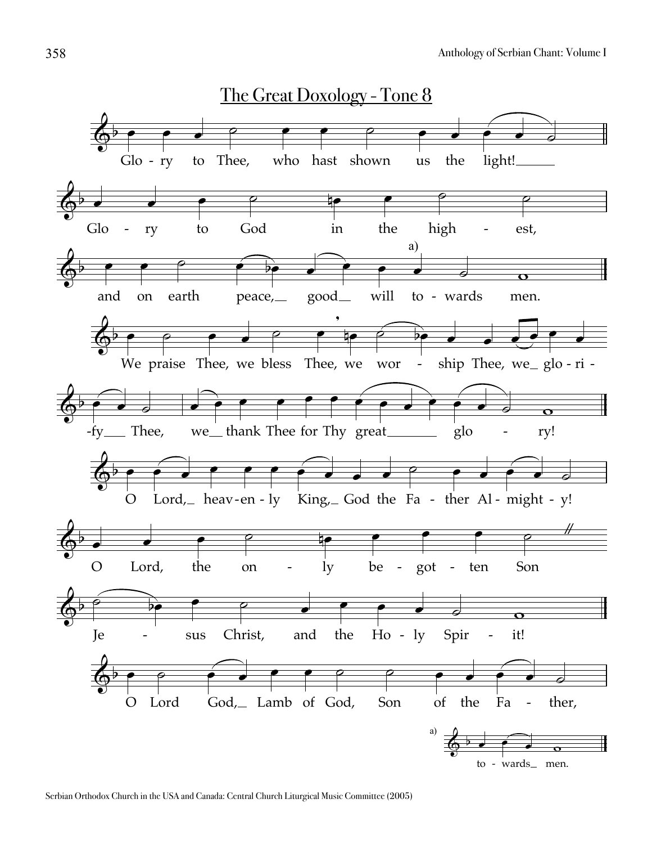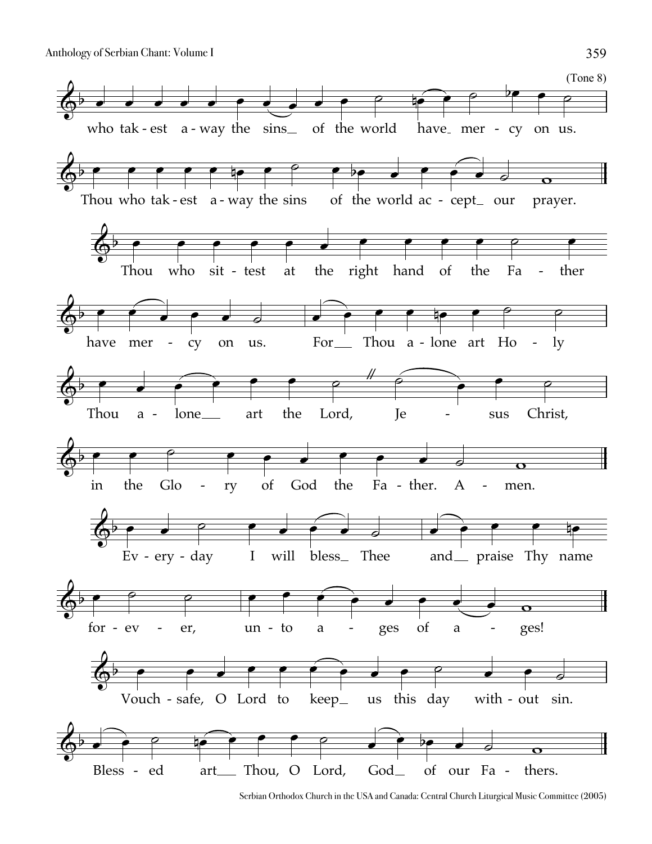

Serbian Orthodox Church in the USA and Canada: Central Church Liturgical Music Committee (2005)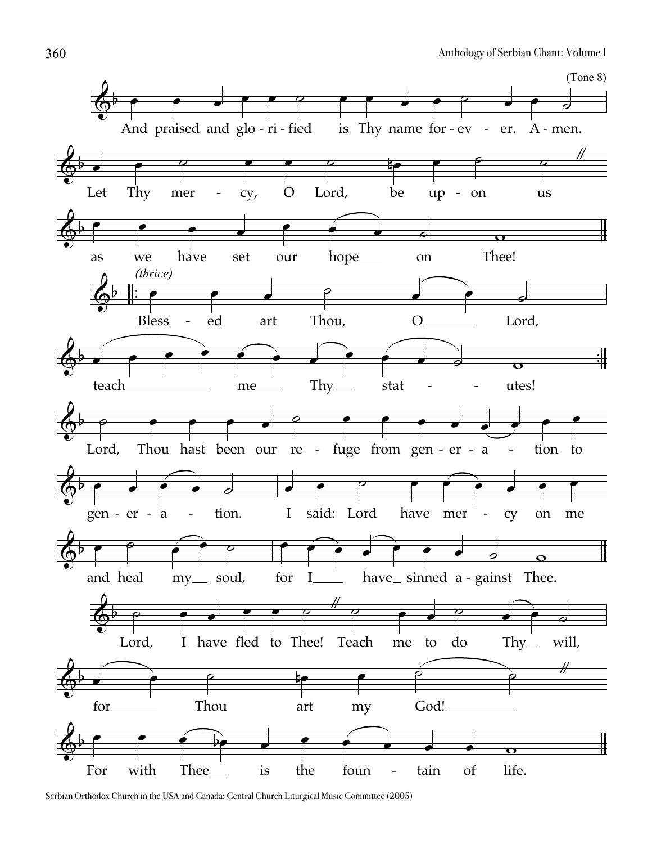

Serbian Orthodox Church in the USA and Canada: Central Church Liturgical Music Committee (2005)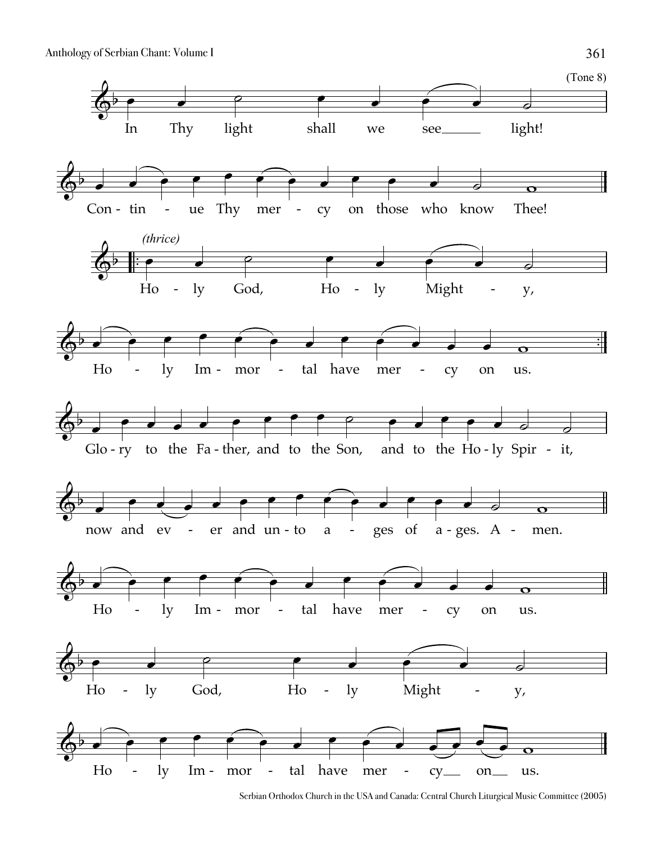Anthology of Serbian Chant: Volume I 361



Serbian Orthodox Church in the USA and Canada: Central Church Liturgical Music Committee (2005)